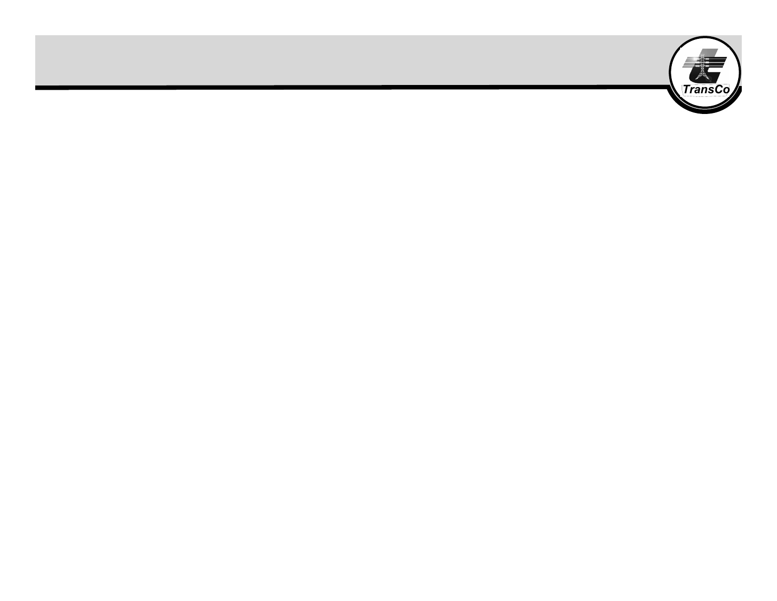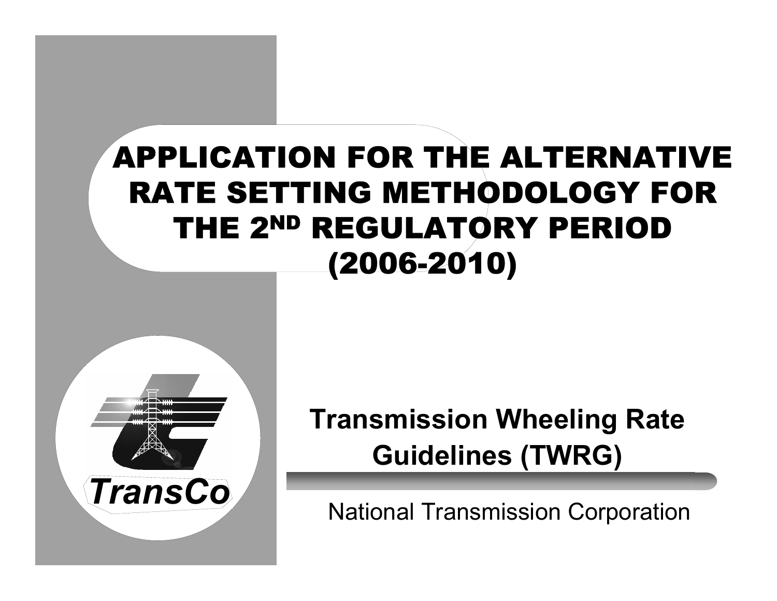## APPLICATION FOR THE ALTERNATIVE RATE SETTING METHODOLOGY FOR THE 2ND REGULATORY PERIOD (2006-2010)



## **Transmission Wheeling Rate Guidelines (TWRG)**

National Transmission Corporation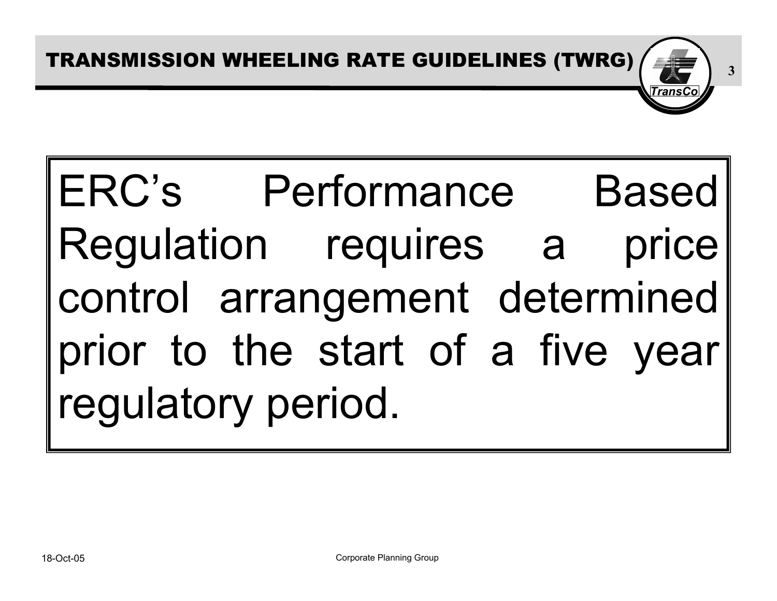# ERC's Performance Based Regulation requires a price control arrangement determined prior to the start of a five year regulatory period.

*TransCo*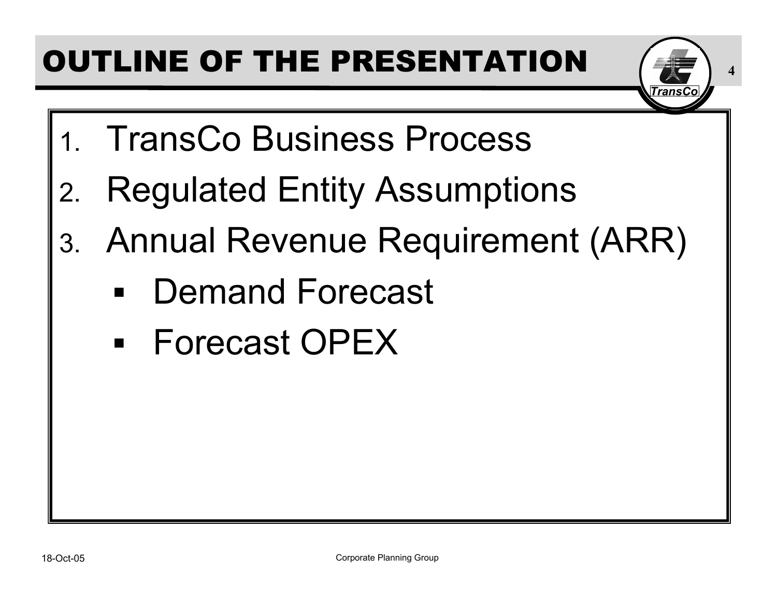## OUTLINE OF THE PRESENTATION

- 1. TransCo Business Process
- 2.Regulated Entity Assumptions
- 3. Annual Revenue Requirement (ARR)

*TransCo*

- Demand Forecast
- Forecast OPEX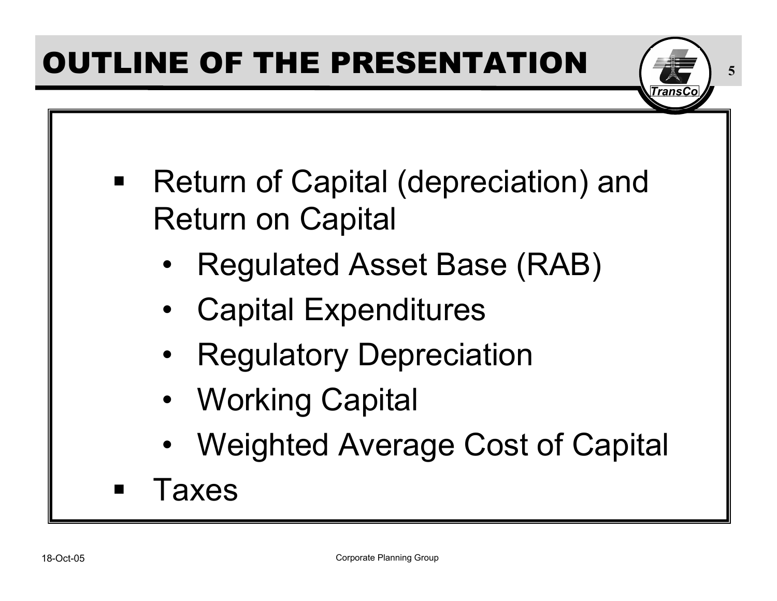## OUTLINE OF THE PRESENTATION **10** (40)

 Return of Capital (depreciation) and Return on Capital

*TransCo*

- •Regulated Asset Base (RAB)
- •Capital Expenditures
- Regulatory Depreciation
- •Working Capital
- •Weighted Average Cost of Capital

Taxes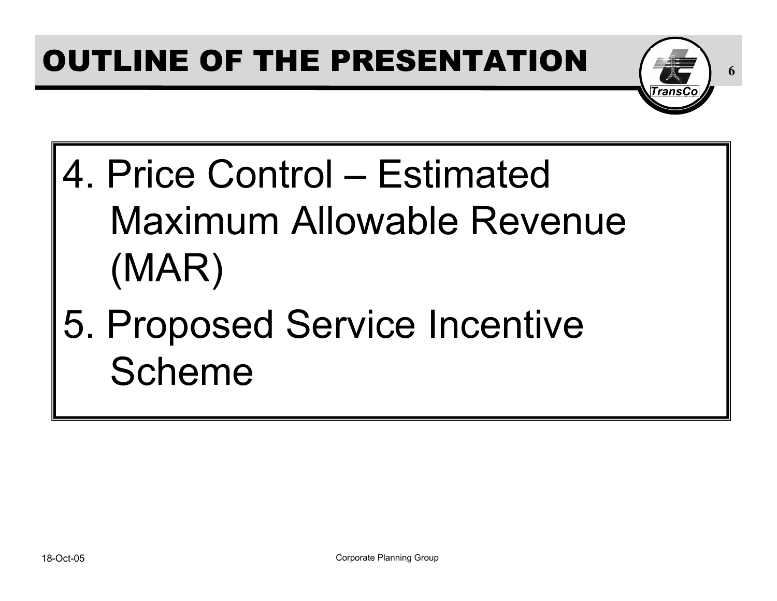## OUTLINE OF THE PRESENTATION

# 4. Price Control – Estimated Maximum Allowable Revenue (MAR)

# 5. Proposed Service Incentive Scheme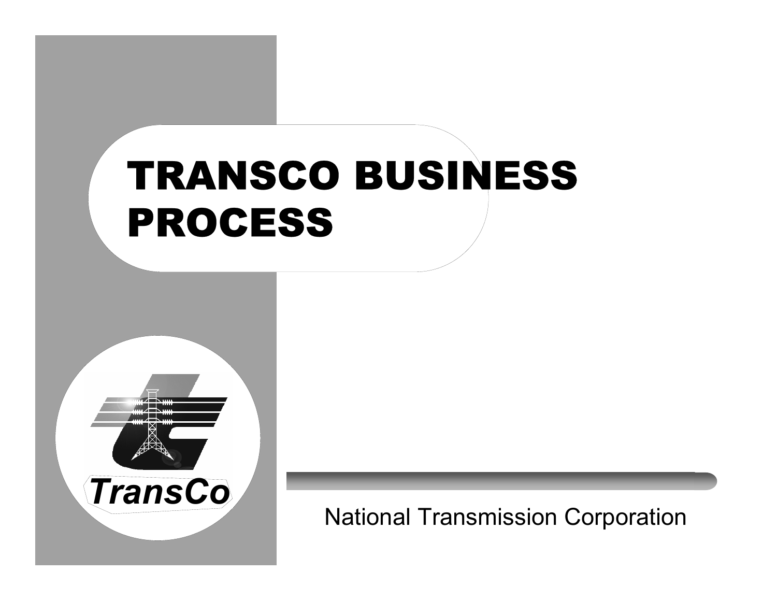# TRANSCO BUSINESS PROCESS



National Transmission Corporation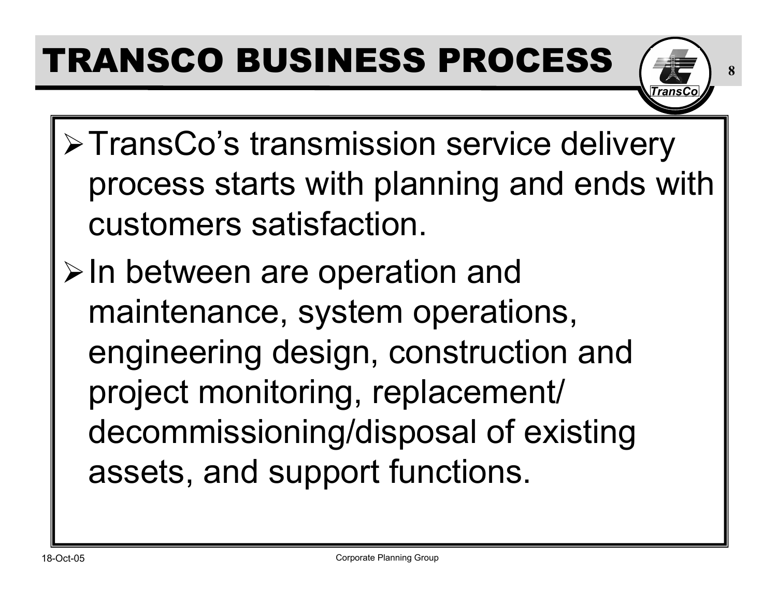# TRANSCO BUSINESS PROCESS **8**

¾TransCo's transmission service delivery process starts with planning and ends with customers satisfaction.

*TransCo*

¾In between are operation and maintenance, system operations, engineering design, construction and project monitoring, replacement/ decommissioning/disposal of existing assets, and support functions.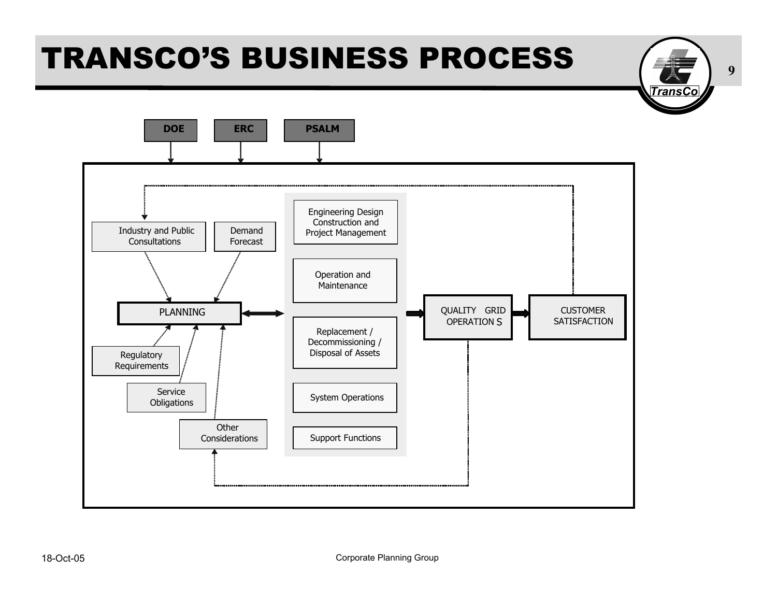#### TRANSCO'S BUSINESS PROCESS**9**

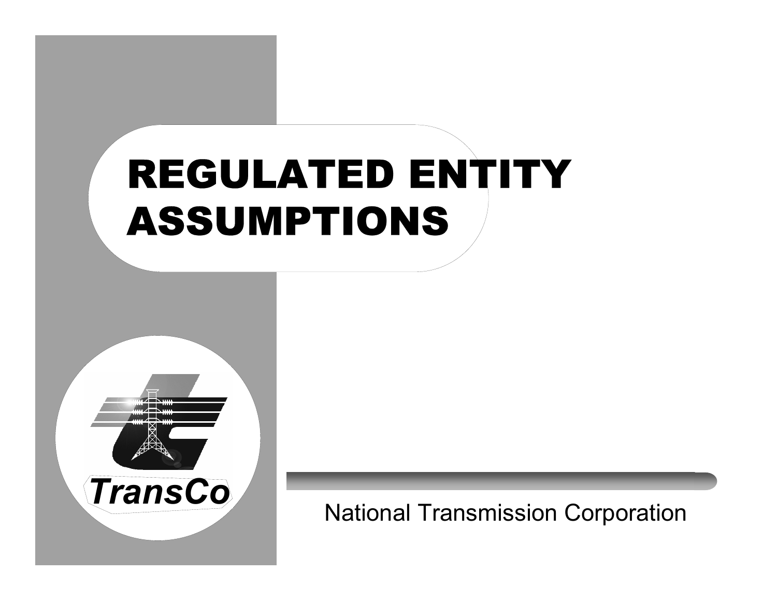# REGULATED ENTITY ASSUMPTIONS



National Transmission Corporation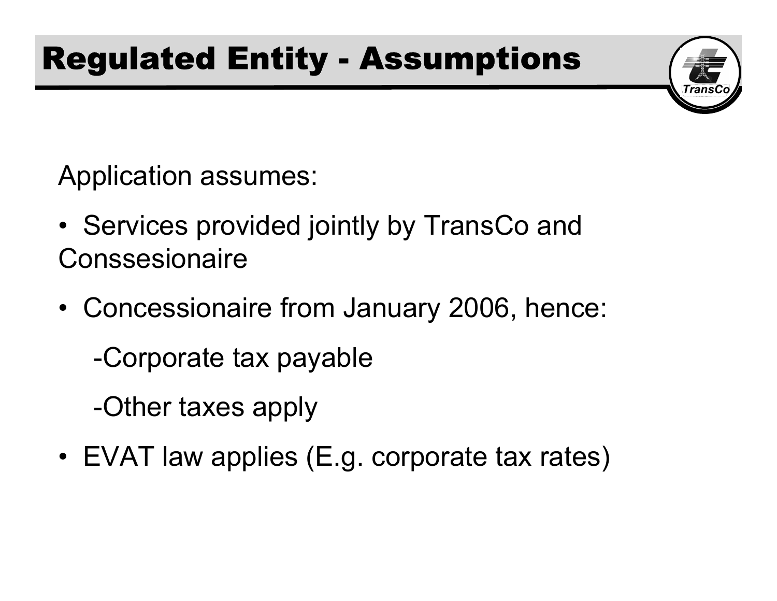

Application assumes:

- Services provided jointly by TransCo and Conssesionaire
- Concessionaire from January 2006, hence:

-Corporate tax payable

-Other taxes apply

• EVAT law applies (E.g. corporate tax rates)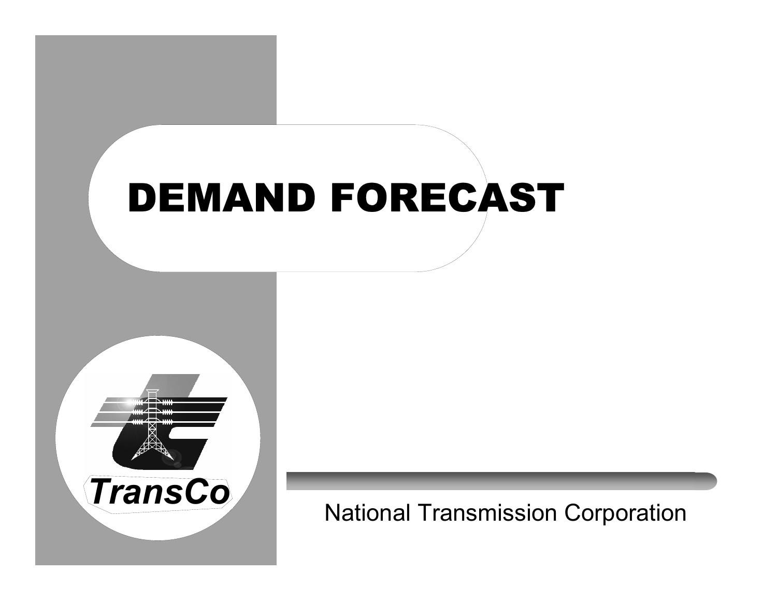



National Transmission Corporation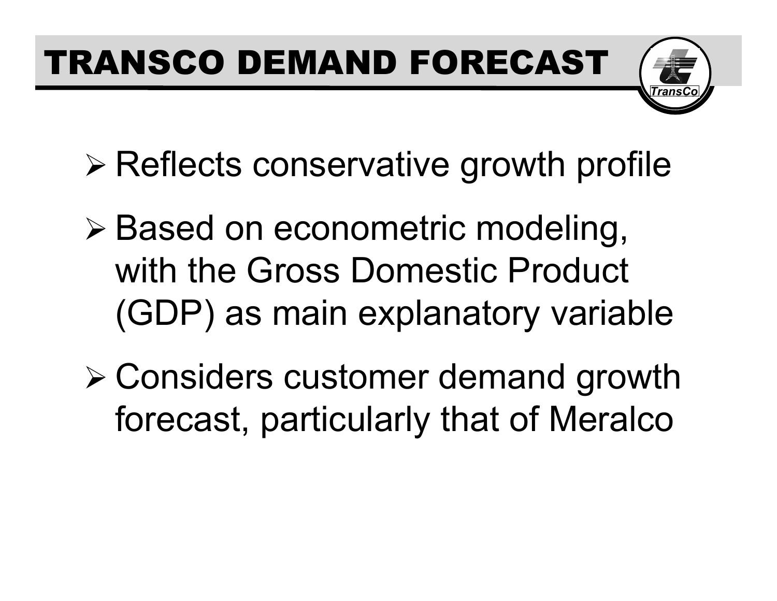# TRANSCO DEMAND FORECAST



- ¾ Reflects conservative growth profile
- ¾ Based on econometric modeling, with the Gross Domestic Product (GDP) as main explanatory variable
- ¾ Considers customer demand growth forecast, particularly that of Meralco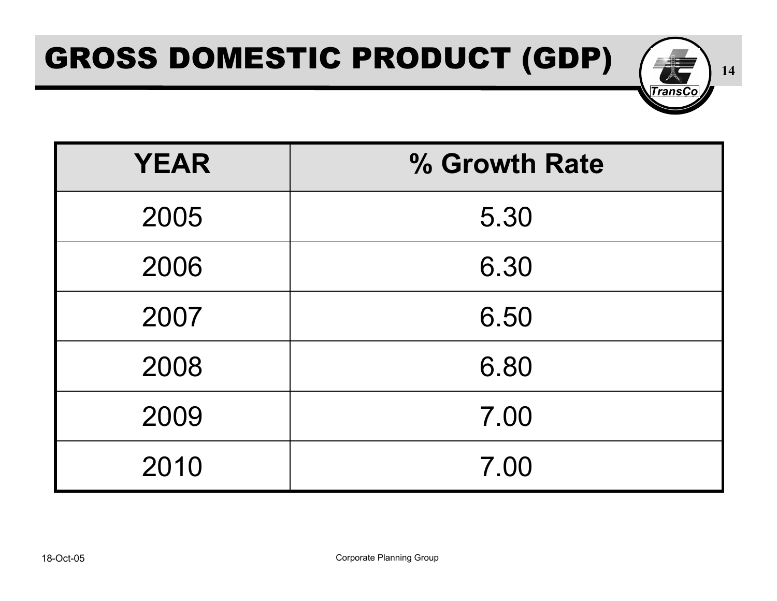## GROSS DOMESTIC PRODUCT (GDP) **<sup>14</sup>**

| <b>YEAR</b> | % Growth Rate |
|-------------|---------------|
| 2005        | 5.30          |
| 2006        | 6.30          |
| 2007        | 6.50          |
| 2008        | 6.80          |
| 2009        | 7.00          |
| 2010        | 7.00          |

*TransCo*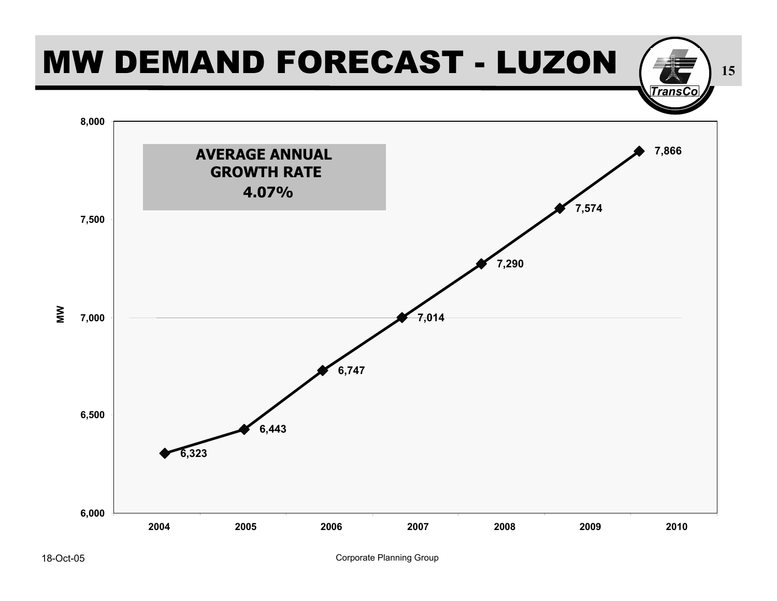## MW DEMAND FORECAST - LUZON



*TransCo*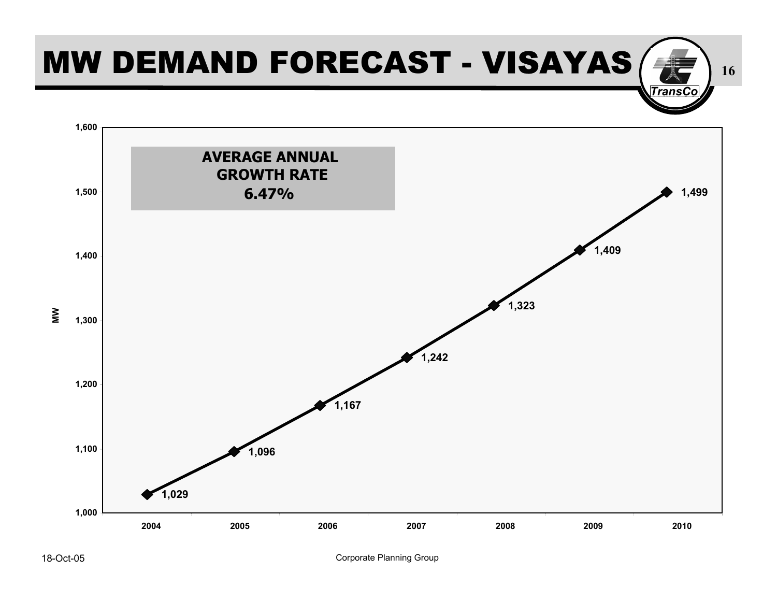## MW DEMAND FORECAST - VISAYAS



*TransCo*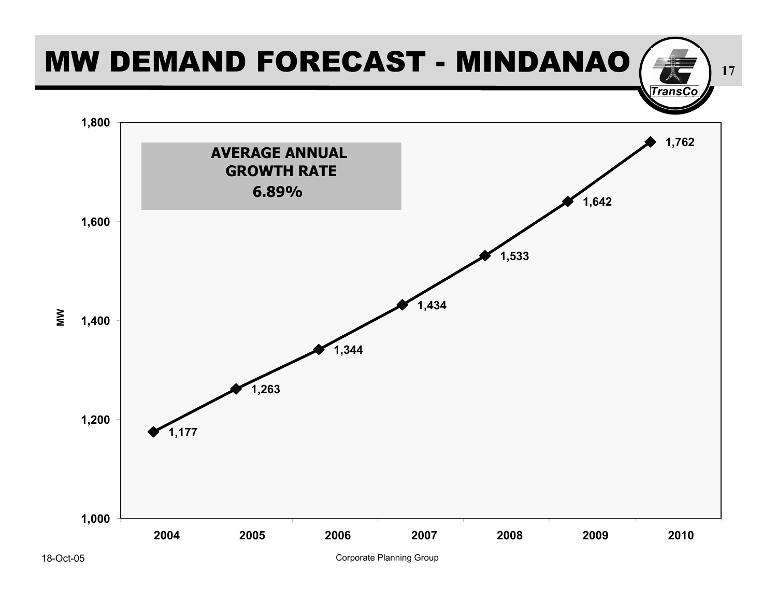### MW DEMAND FORECAST - MINDANAO



*TransCo*

**17**

18-Oct-05

Corporate Planning Group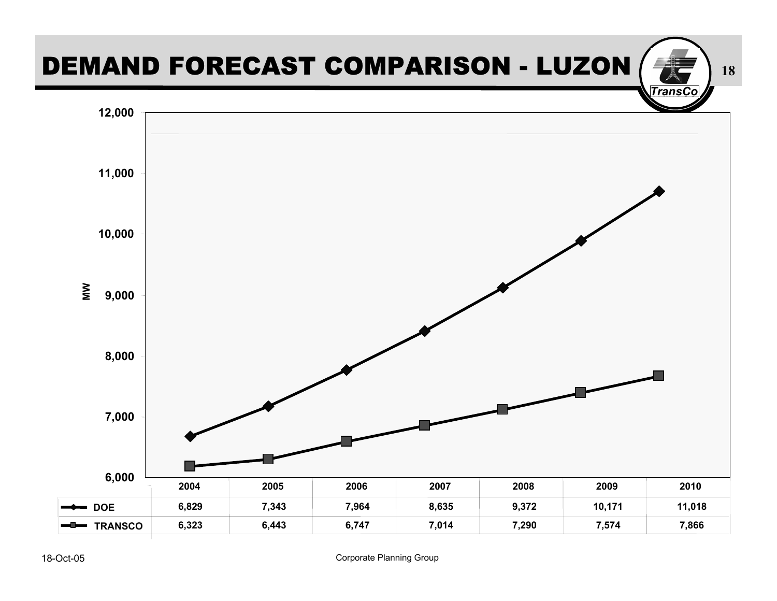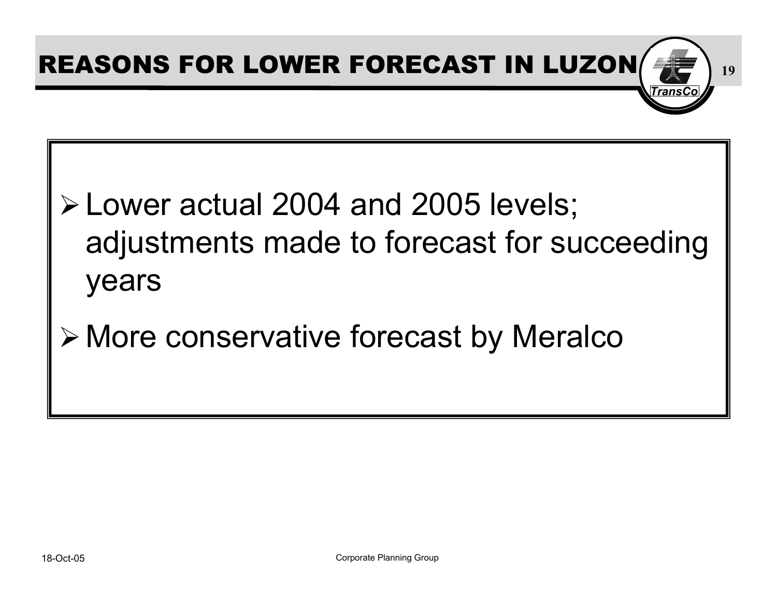¾Lower actual 2004 and 2005 levels; adjustments made to forecast for succeeding years

*TransCo*

¾ More conservative forecast by Meralco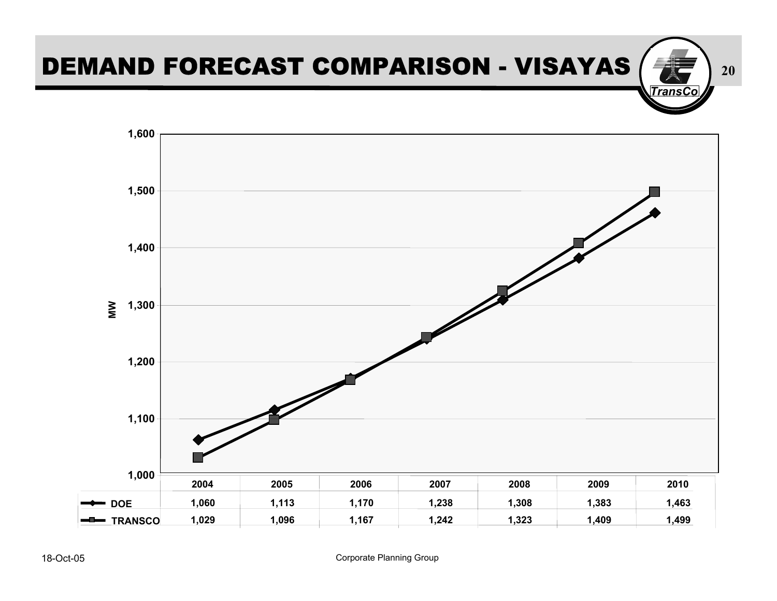### DEMAND FORECAST COMPARISON - VISAYAS



#### Corporate Planning Group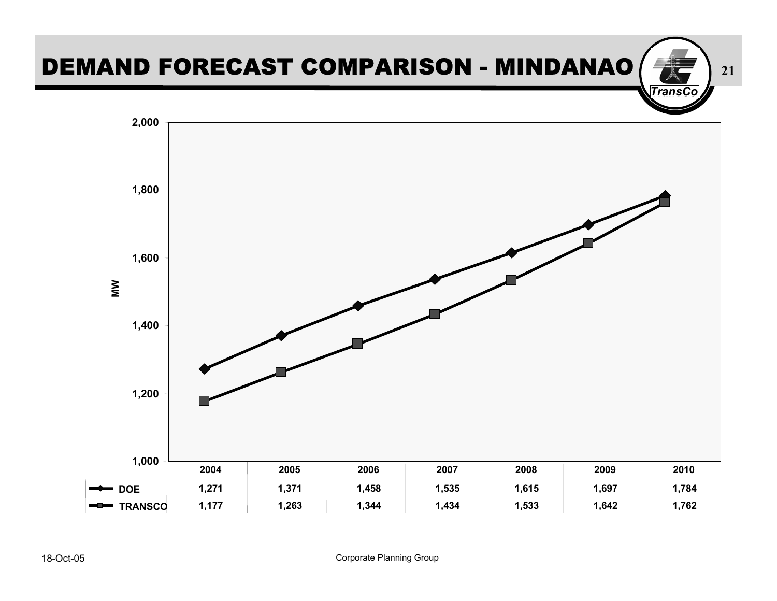| 2,000                     |       |       |       |       |       |       | <b>TransCo</b> |
|---------------------------|-------|-------|-------|-------|-------|-------|----------------|
| 1,800                     |       |       |       |       |       |       |                |
| 1,600<br>$\sum_{i=1}^{n}$ |       |       |       |       |       |       |                |
| 1,400                     |       |       |       |       |       |       |                |
| 1,200                     |       |       |       |       |       |       |                |
| 1,000                     | 2004  | 2005  | 2006  | 2007  | 2008  | 2009  | 2010           |
| - DOE                     | 1,271 | 1,371 | 1,458 | 1,535 | 1,615 | 1,697 | 1,784          |
| <b>- TRANSCO</b>          | 1,177 | 1,263 | 1,344 | 1,434 | 1,533 | 1,642 | 1,762          |

**21**

### DEMAND FORECAST COMPARISON - MINDANAO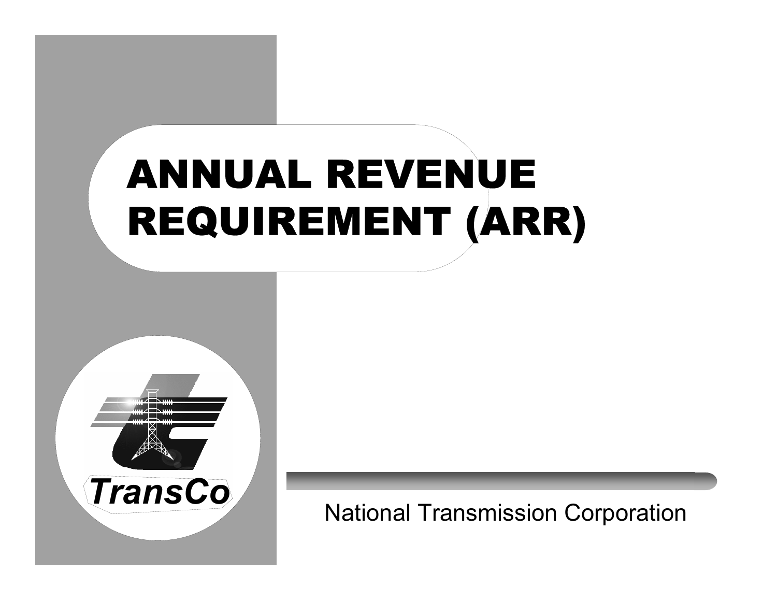# ANNUAL REVENUE REQUIREMENT (ARR)



National Transmission Corporation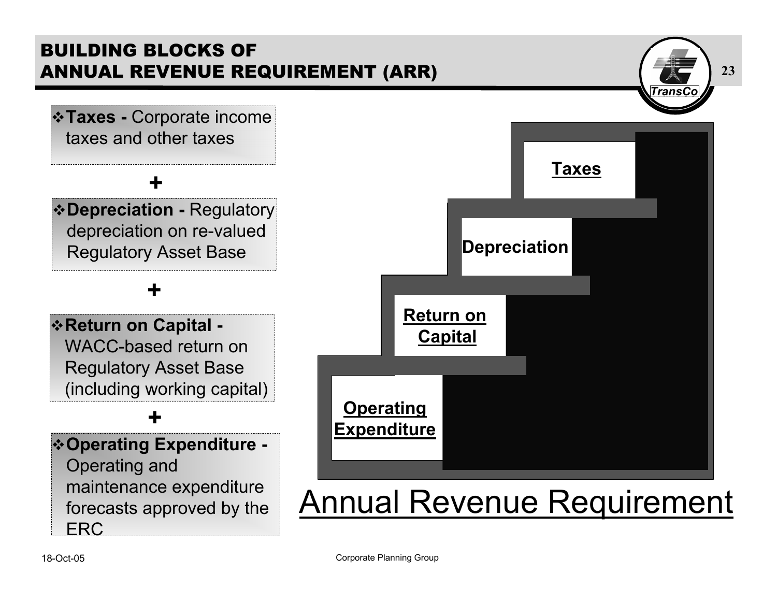### BUILDING BLOCKS OF ANNUAL REVENUE REQUIREMENT (ARR)

**Taxes -** Corporate income taxes and other taxes

### **+**

**Depreciation -** Regulatory depreciation on re-valued Regulatory Asset Base

#### **+**

Regulatory Asset Base (including working capital)

#### **+**

**Expenditure Operating Expenditure -** Operating and maintenance expenditure forecasts approved by the ERC



### Annual Revenue Requirement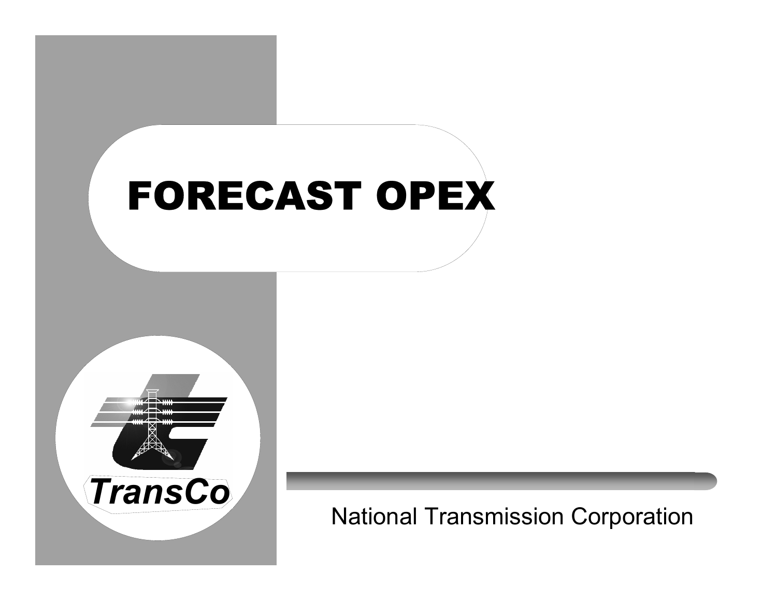



National Transmission Corporation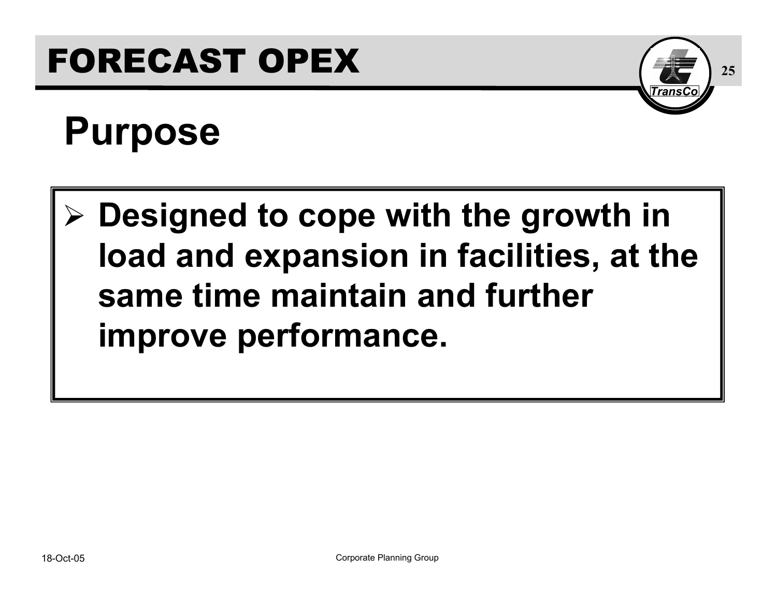# **Purpose**

¾ **Designed to cope with the growth in load and expansion in facilities, at the same time maintain and further improve performance.**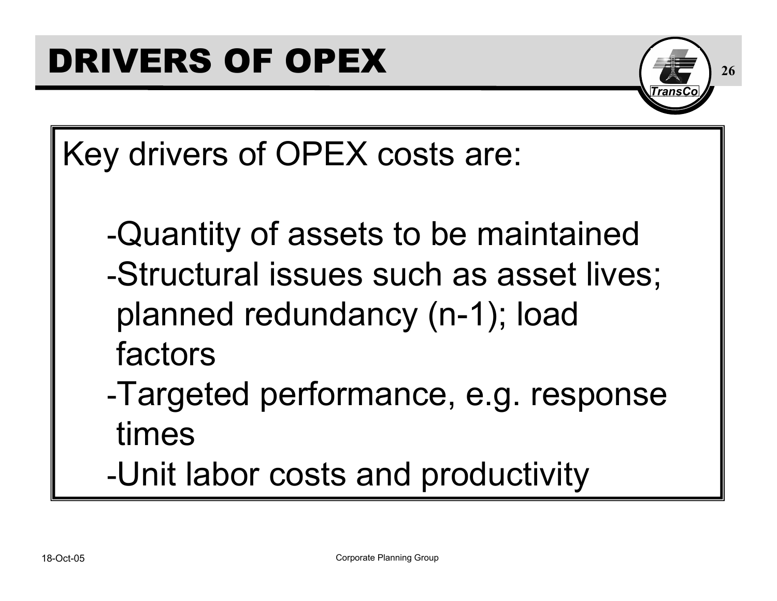

-Quantity of assets to be maintained -Structural issues such as asset lives; planned redundancy (n-1); load factors

- -Targeted performance, e.g. response times
- -Unit labor costs and productivity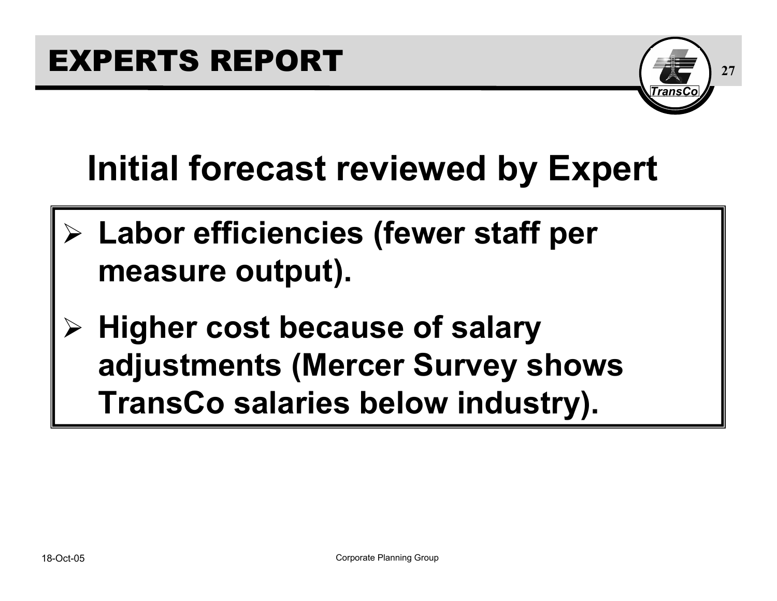# **Initial forecast reviewed by Expert**

- ¾ **Labor efficiencies (fewer staff per measure output).**
- ¾ **Higher cost because of salary adjustments (Mercer Survey shows TransCo salaries below industry).**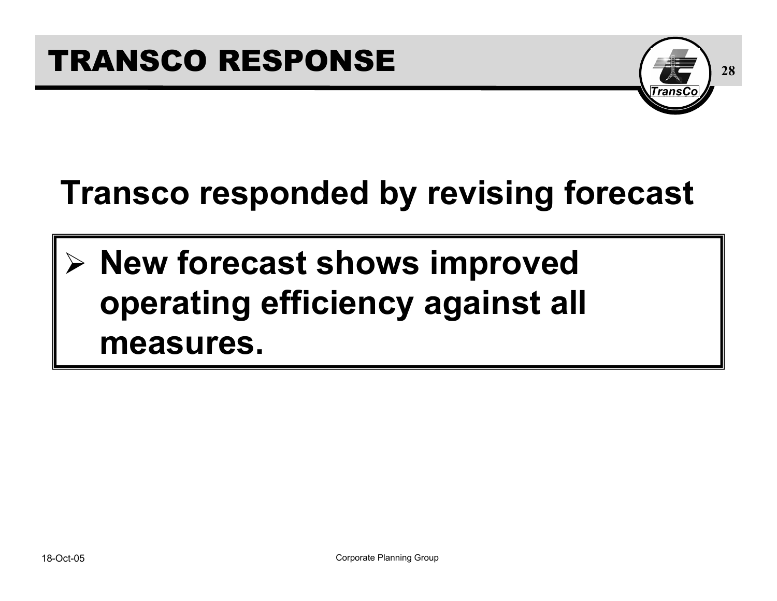# **Transco responded by revising forecast**

## ¾ **New forecast shows improved operating efficiency against all measures.**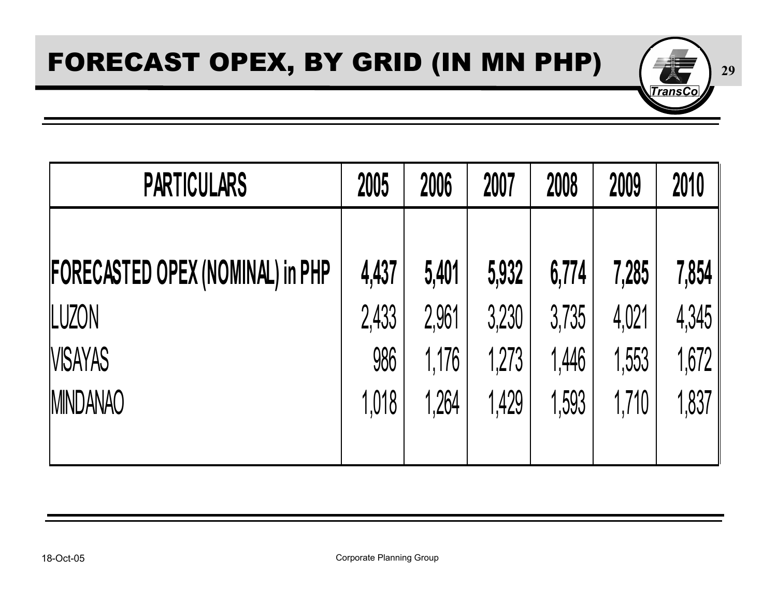### FORECAST OPEX, BY GRID (IN MN PHP)  $\left(\frac{1}{2}\right)^{29}$

| <b>PARTICULARS</b>                      | 2005  | 2006  | 2007  | 2008  | 2009  | 2010  |
|-----------------------------------------|-------|-------|-------|-------|-------|-------|
|                                         |       |       |       |       |       |       |
| <b>FORECASTED OPEX (NOMINAL) in PHP</b> | 4,437 | 5,401 | 5,932 | 6,774 | 7,285 | 7,854 |
| <b>LUZON</b>                            | 2,433 | 2,961 | 3,230 | 3,735 | 4,021 | 4,345 |
| <b>VISAYAS</b>                          | 986   | 1,176 | 1,273 | 1,446 | 1,553 | 1,672 |
| <b>MINDANAO</b>                         | 1,018 | 1,264 | 1,429 | 1,593 | 1,710 | 1,837 |
|                                         |       |       |       |       |       |       |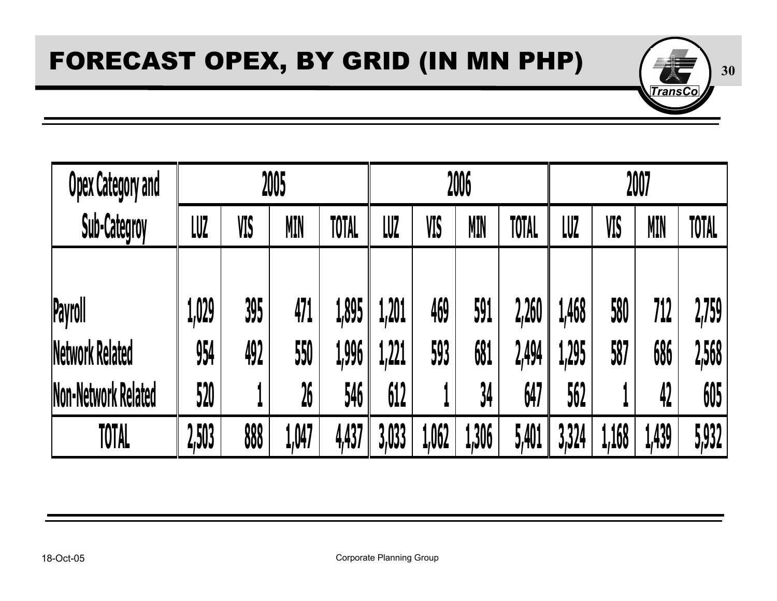| <b>Opex Category and</b> | 2005  |            |              |              | 2006  |       |       |              | 2007  |       |       |       |
|--------------------------|-------|------------|--------------|--------------|-------|-------|-------|--------------|-------|-------|-------|-------|
| <b>Sub-Categroy</b>      | LUZ   | VIS        | MIN          | <b>TOTAL</b> | LUZ   | VIS   | MIN   | <b>TOTAL</b> | LUZ   | VIS   | MIN   | TOTAL |
|                          |       |            |              |              |       |       |       |              |       |       |       |       |
| Payroll                  | 1,029 | 395        | 471          | 1,895        | 1,201 | 469   | 591   | 2,260        | 1,468 | 580   | 712   | 2,759 |
| Network Related          | 954   | 492        | 550          | 1,996        | 1,221 | 593   | 681   | 2,494        | 1,295 | 587   | 686   | 2,568 |
| Non-Network Related      | 520   |            | 26           | 546          | 612   |       | 34    | 647          | 562   |       | 42    | 605   |
| TOTAL                    | 2,503 | 888<br>000 | <b>1,047</b> | 4,437        | 3,033 | 1,062 | .,306 | 5,401        | 3,324 | 1,168 | 1,439 | 5,932 |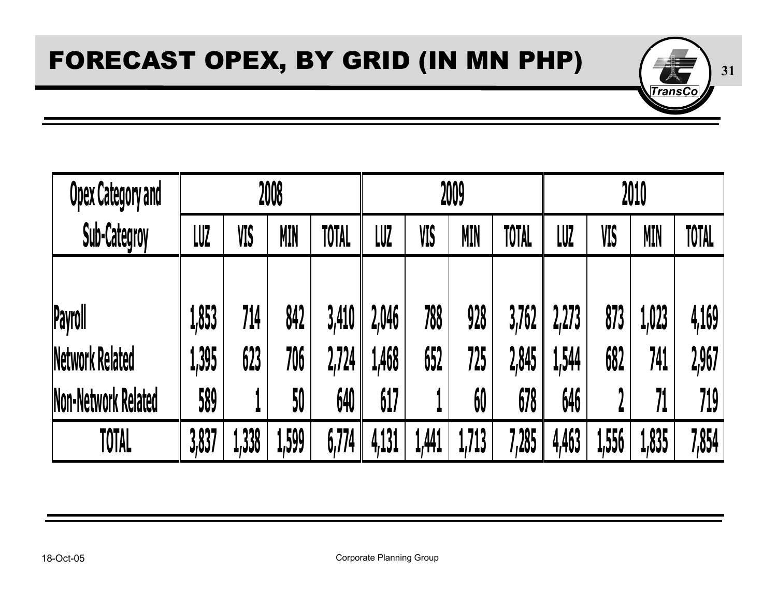| <b>Opex Category and</b> |            |      | 2008  |              | 2009  |                        |                         |       | 2010  |       |       |              |
|--------------------------|------------|------|-------|--------------|-------|------------------------|-------------------------|-------|-------|-------|-------|--------------|
| Sub-Categroy             | <u>LUZ</u> | VIS  | MIN   | <b>TOTAL</b> | LUZ   | VIS                    | MIN                     | TOTAL | LUZ   | VIS   | MIN   | <b>TOTAL</b> |
|                          |            |      |       |              |       |                        |                         |       |       |       |       |              |
| Payroll                  | 1,853      | 714  | 842   | 3,410        | 2,046 | <b>788</b>             | 928                     | 3,762 | 2,273 | 873   | 1,023 | 4,169        |
| Network Related          | 1,395      | 623  | 706   | 2,724        | ,468  | 652                    | 725                     | 2,845 | 1,544 | 682   | 741   | 2,967        |
| Non-Network Related      | 589        |      | 50    | 640          | 617   |                        | $\boldsymbol{\hat{00}}$ | 678   | 646   |       | 71    | 719          |
| TOTAL                    | 3,837      | ,338 | 1,599 | 6,774        | 4,131 | $\lfloor .441 \rfloor$ | 1,713                   | ,285  | 4,463 | 1,556 | 1,835 | 7,854        |

*TransCo*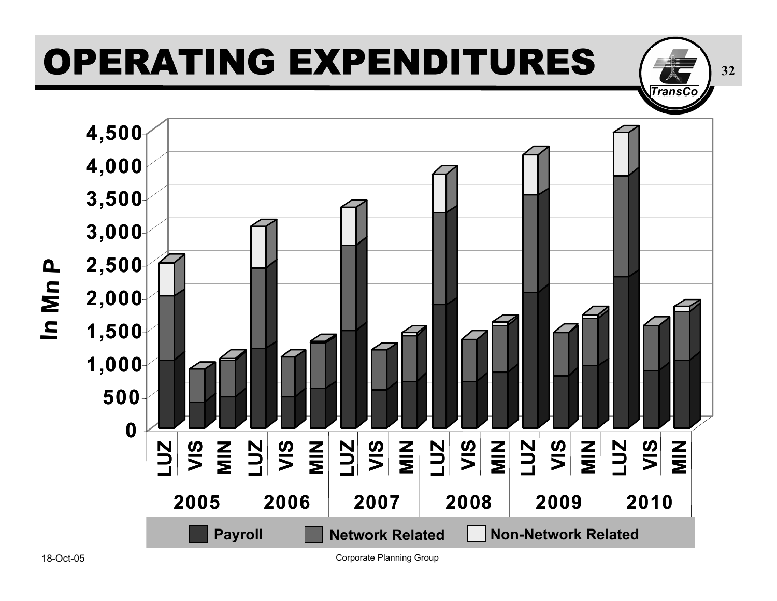# OPERATING EXPENDITURES (#E) 32



Corporate Planning Group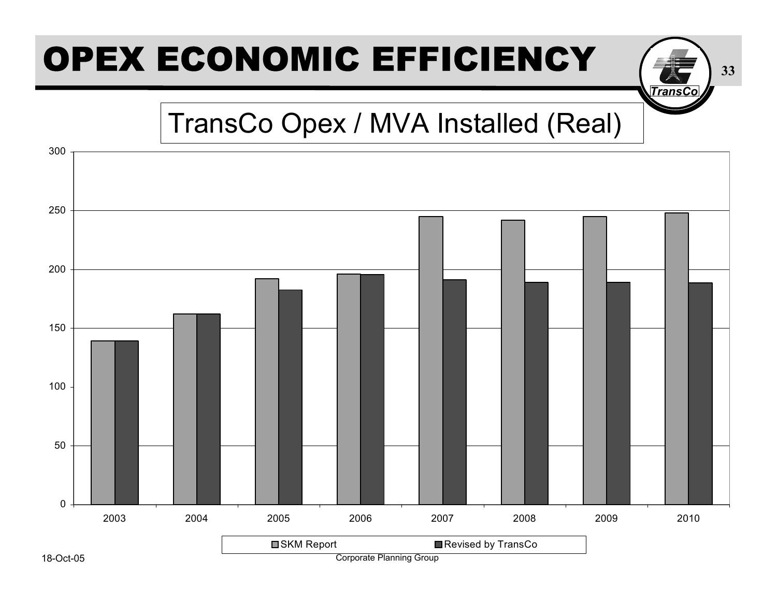## OPEX ECONOMIC EFFICIENCY



*TransCo*

**33**

Corporate Planning Group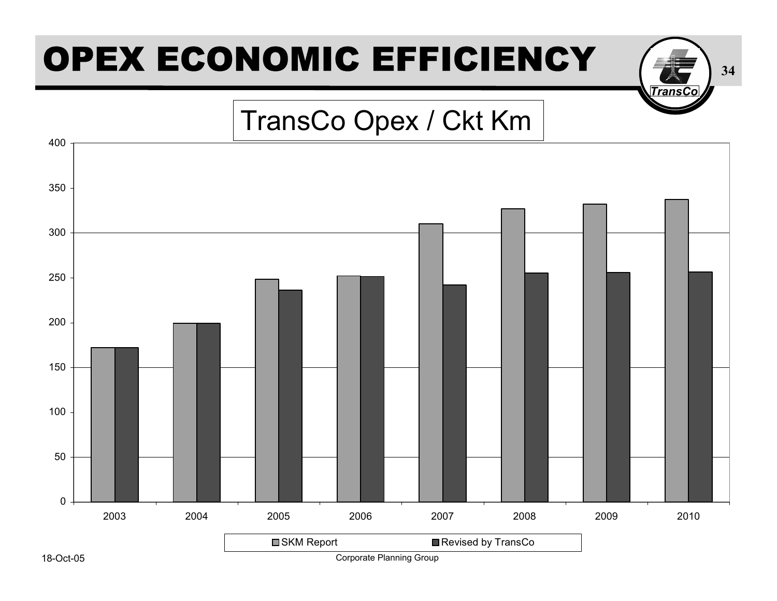## OPEX ECONOMIC EFFICIENCY (#E) 34



Corporate Planning Group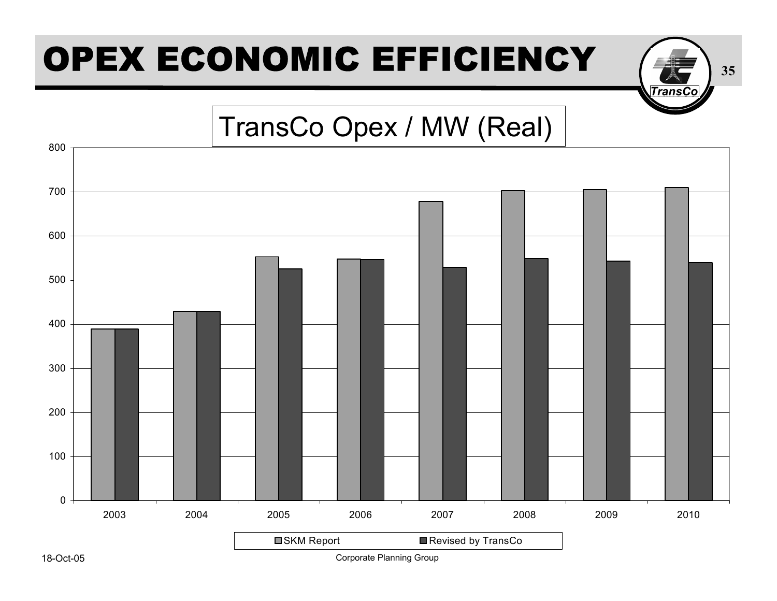## OPEX ECONOMIC EFFICIENCY



Corporate Planning Group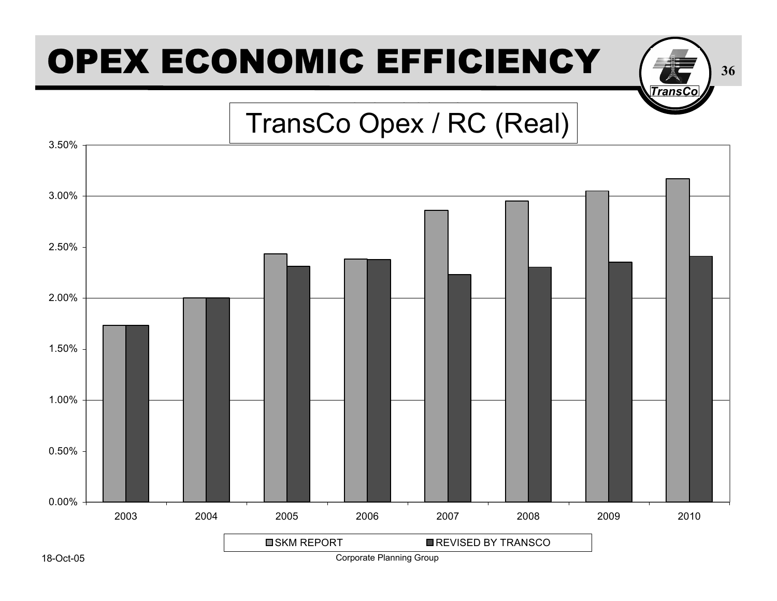## OPEX ECONOMIC EFFICIENCY



18-Oct-05

Corporate Planning Group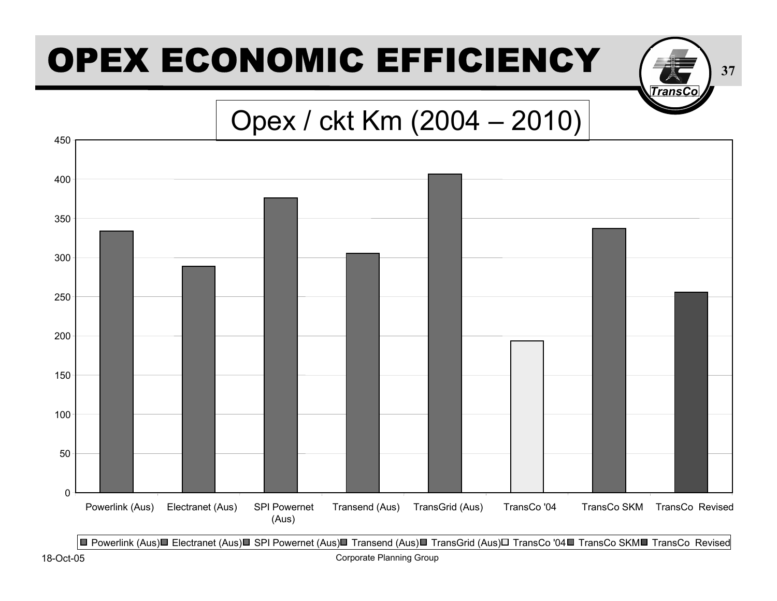#### OPEX ECONOMIC EFFICIENCY**37**



*TransCo*

■ Powerlink (Aus) Electranet (Aus) SPI Powernet (Aus) Transend (Aus) TransGrid (Aus) TransCo '04 TransCo SKM TransCo Revised

Corporate Planning Group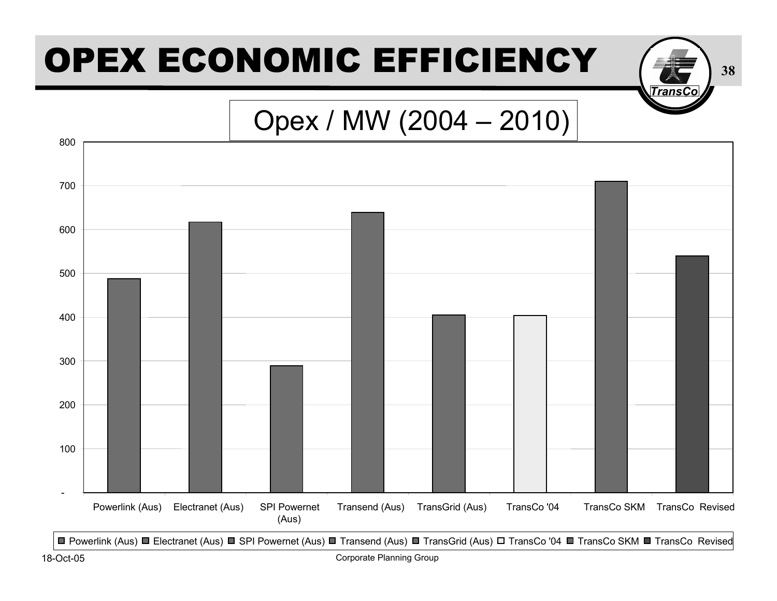#### OPEX ECONOMIC EFFICIENCY**38 1736** 1 38



18-Oct-05

Corporate Planning Group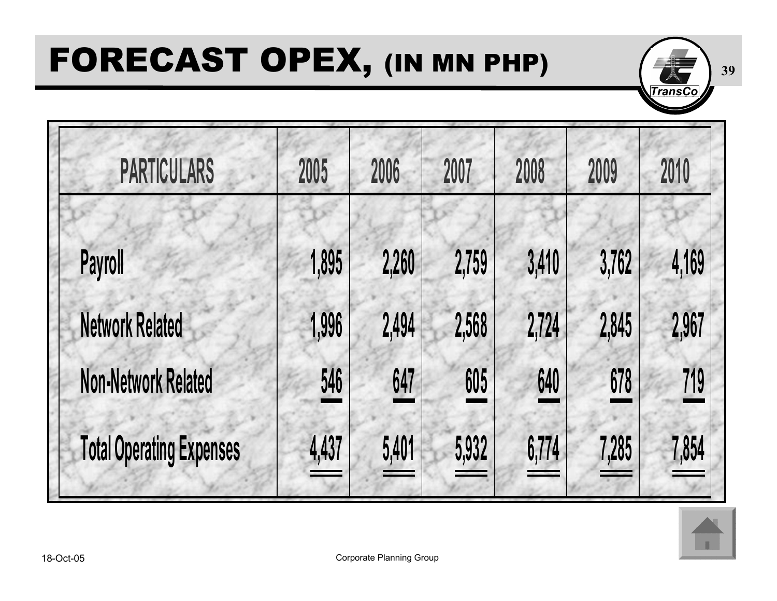# FORECAST OPEX, (IN MN PHP)

| <b>PARTICULARS</b>              | 2005              | 2006              | 2007  | 2008  | 2009              | 2010  |
|---------------------------------|-------------------|-------------------|-------|-------|-------------------|-------|
| Payroll                         | 1,895             | 2,260             | 2,759 | 3,410 | 3,762             | 4,169 |
| <b>Network Related</b>          | 1,996             | 2,494             | 2,568 | 2,724 | 2,845             | 2,967 |
| <b>Non-Network Related</b>      | 546               | 647               | 605   | 640   | 678               | 719   |
| <b>Total Operating Expenses</b> | $\frac{4,437}{2}$ | $\frac{5,401}{2}$ | 5,932 | 6,774 | $\frac{7,285}{ }$ | 7,854 |

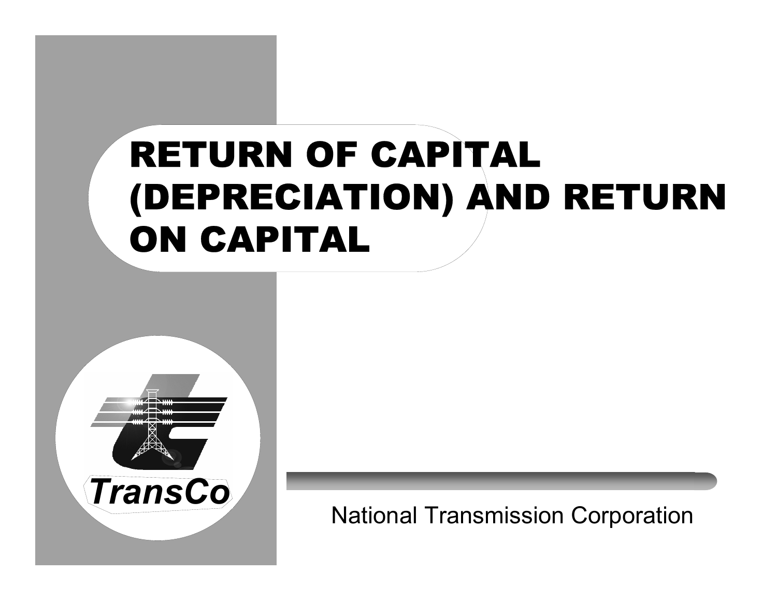# RETURN OF CAPITAL (DEPRECIATION) AND RETURN ON CAPITAL



National Transmission Corporation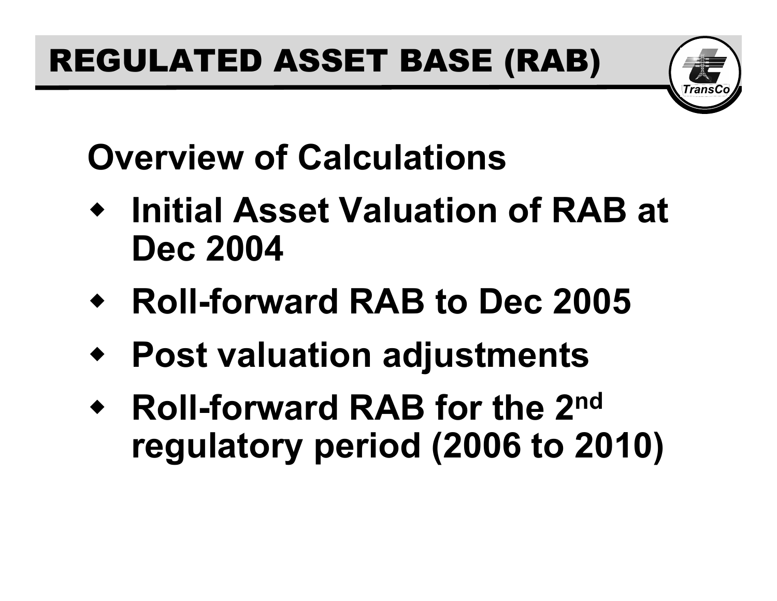# REGULATED ASSET BASE (RAB)

# *TransCo*

# **Overview of Calculations**

- **Initial Asset Valuation of RAB at Dec 2004**
- **Roll-forward RAB to Dec 2005**
- **Post valuation adjustments**
- **Roll-forward RAB for the 2nd regulatory period (2006 to 2010)**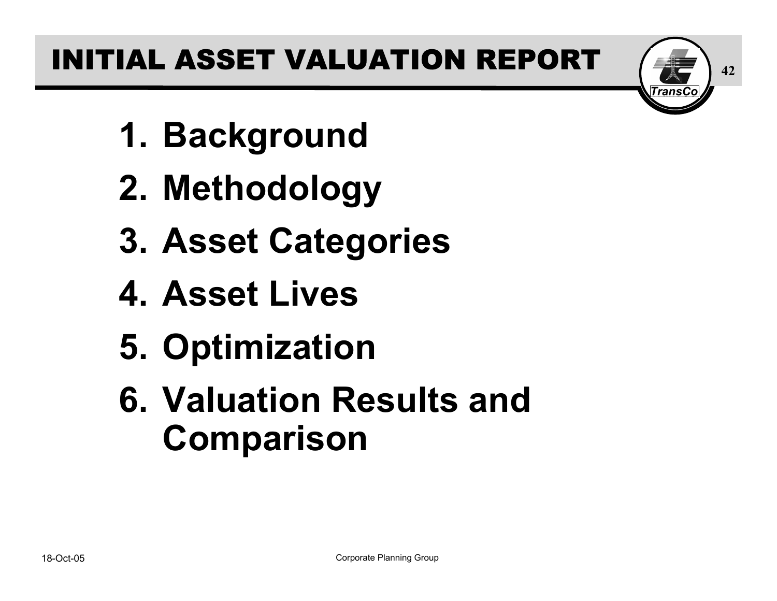### ITIAL ASSET VALUATION REPORT

*TransCo*

**42**

- **1. Background**
- **2. Methodology**
- **3. Asset Categories**
- **4. Asset Lives**
- **5. Optimization**
- **6. Valuation Results and Comparison**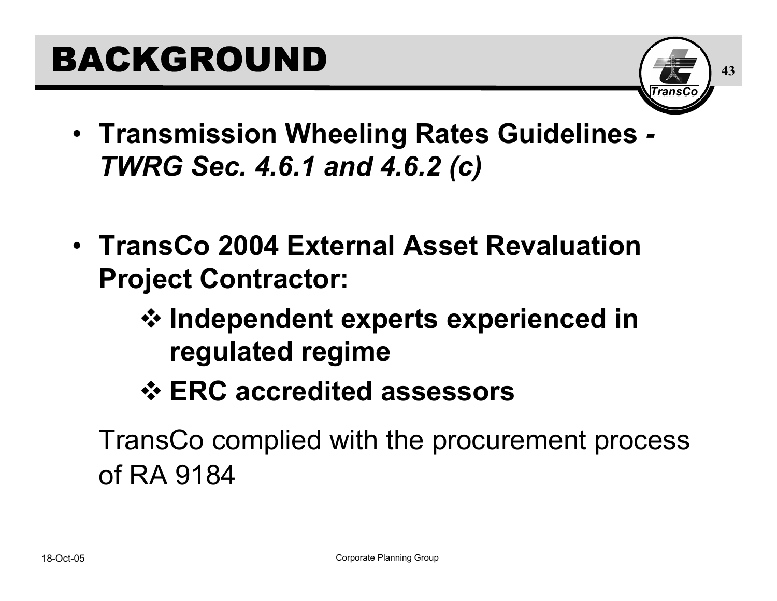# BACKGROUND

- **Transmission Wheeling Rates Guidelines** *- TWRG Sec. 4.6.1 and 4.6.2 (c)*
- **TransCo 2004 External Asset Revaluation Project Contractor:**
	- **Independent experts experienced in regulated regime**
	- **ERC accredited assessors**

TransCo complied with the procurement process of RA 9184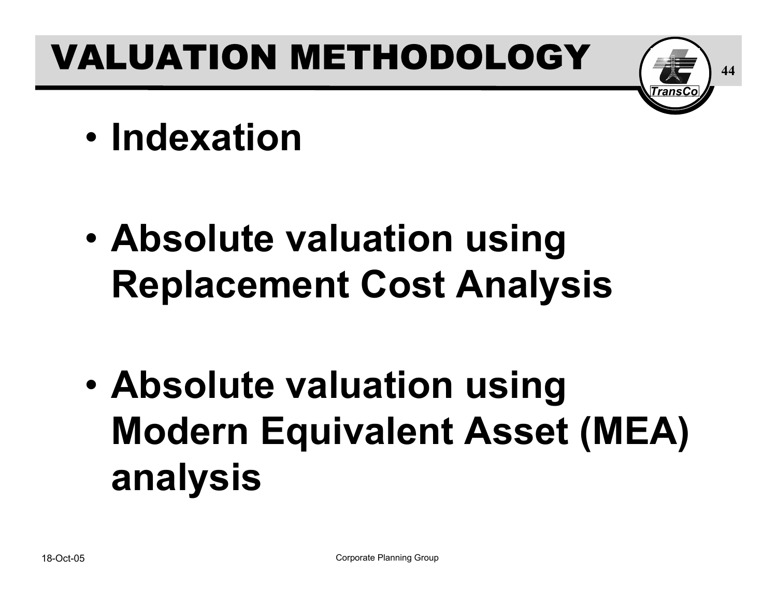#### VALUATION METHODOLOGY**44 144 144 144**

•**Indexation**

• **Absolute valuation using Replacement Cost Analysis**

• **Absolute valuation using Modern Equivalent Asset (MEA) analysis**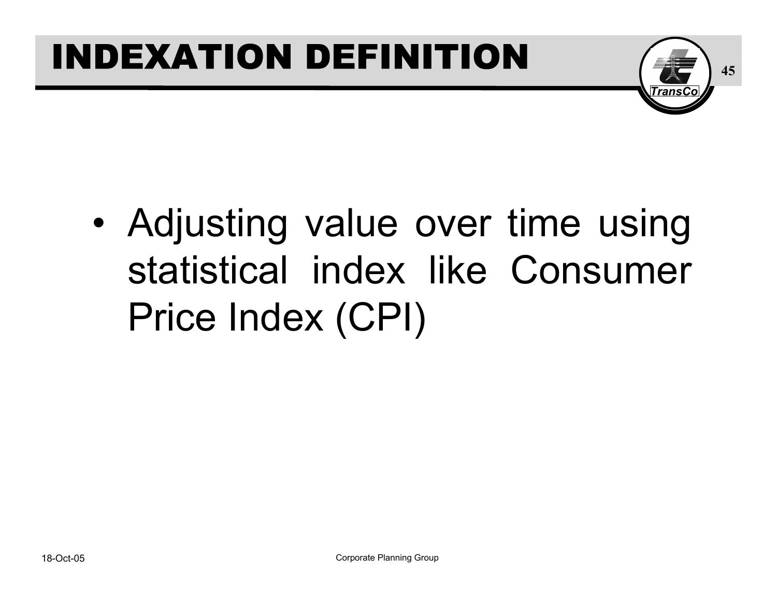#### INDEXATION DEFINITION**45 145 145**

• Adjusting value over time using statistical index like Consumer Price Index (CPI)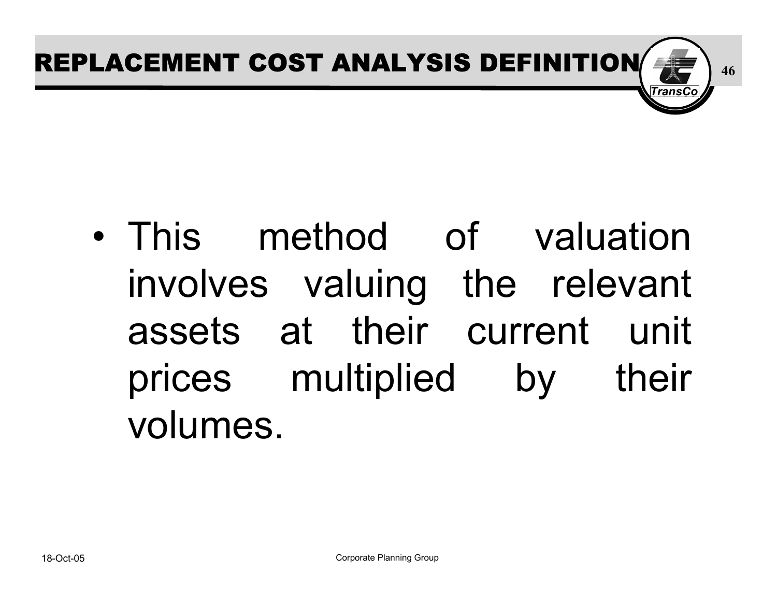• This method of valuation involves valuing the relevant assets at their current unit prices multiplied by their volumes.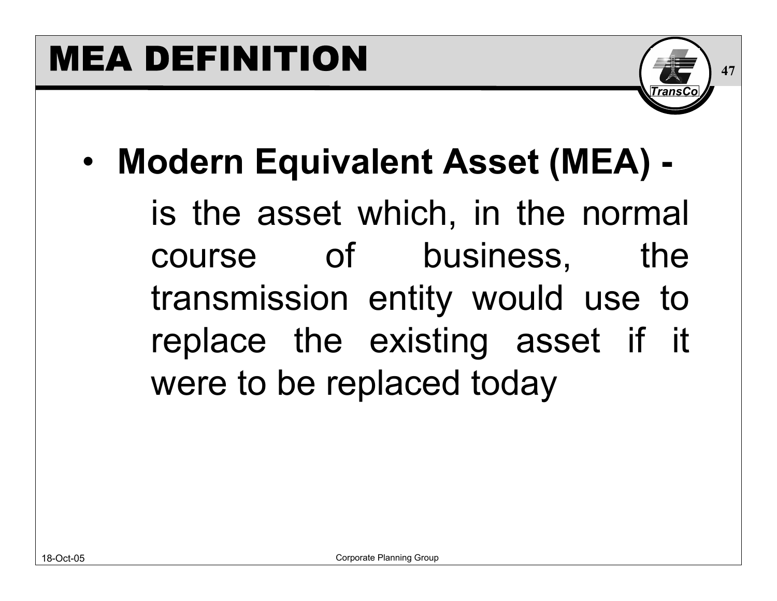# EA DEFINITION

- *TransCo***47**
- •**Modern Equivalent Asset (MEA) -**

is the asset which, in the normal course of business, the transmission entity would use to replace the existing asset if it were to be replaced today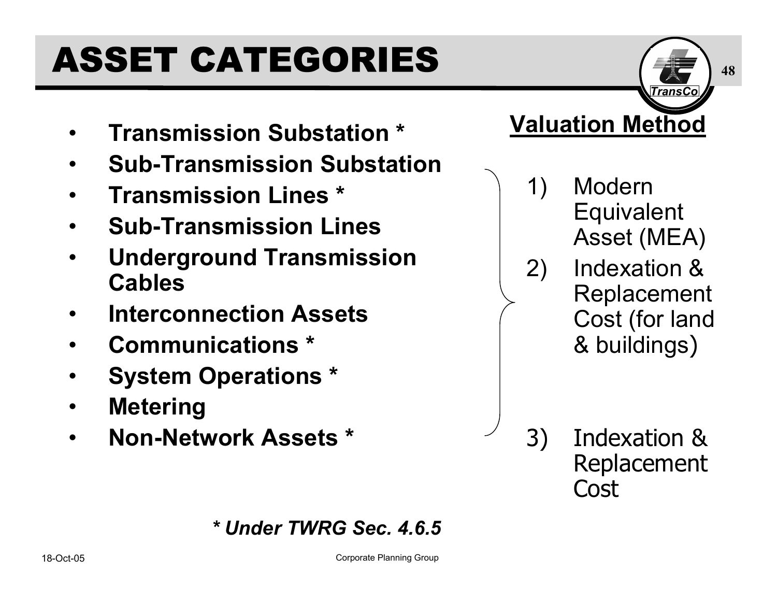#### ASSET CATEGORIES**148 148 148**

- •**Transmission Substation \***
- •**Sub-Transmission Substation**
- •**Transmission Lines \***
- •**Sub-Transmission Lines**
- • **Underground Transmission Cables**
- •**Interconnection Assets**
- •**Communications \***
- •**System Operations \***
- •**Metering**
- •**Non-Network Assets \***
- 1) Modern **Equivalent** Asset (MEA) 2) Indexation & Replacement
	- Cost (for land & buildings)

3) Indexation & Replacement **Cost**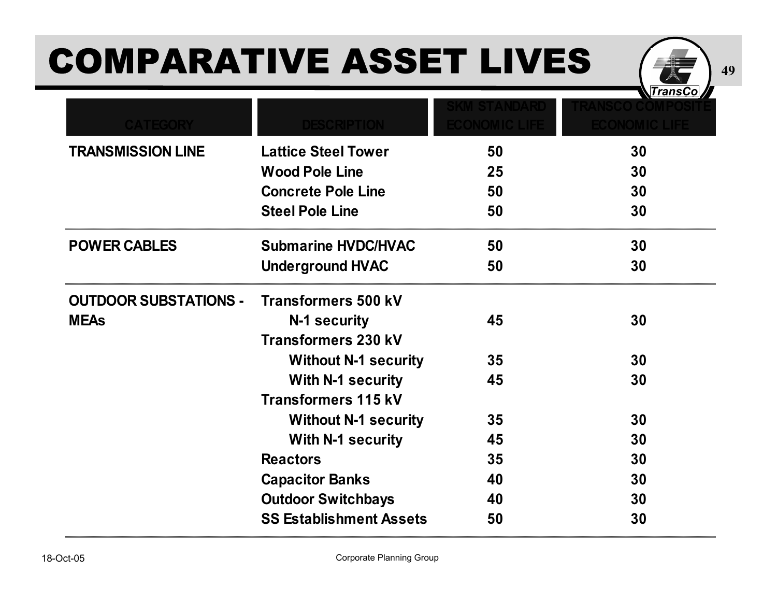# COMPARATIVE ASSET LIVES

|                              |                                |    | <b>TransCo</b> |
|------------------------------|--------------------------------|----|----------------|
| <b>TRANSMISSION LINE</b>     | <b>Lattice Steel Tower</b>     | 50 | 30             |
|                              | <b>Wood Pole Line</b>          | 25 | 30             |
|                              | <b>Concrete Pole Line</b>      | 50 | 30             |
|                              | <b>Steel Pole Line</b>         | 50 | 30             |
| <b>POWER CABLES</b>          | <b>Submarine HVDC/HVAC</b>     | 50 | 30             |
|                              | <b>Underground HVAC</b>        | 50 | 30             |
| <b>OUTDOOR SUBSTATIONS -</b> | <b>Transformers 500 kV</b>     |    |                |
| <b>MEAs</b>                  | N-1 security                   | 45 | 30             |
|                              | <b>Transformers 230 kV</b>     |    |                |
|                              | <b>Without N-1 security</b>    | 35 | 30             |
|                              | <b>With N-1 security</b>       | 45 | 30             |
|                              | <b>Transformers 115 kV</b>     |    |                |
|                              | <b>Without N-1 security</b>    | 35 | 30             |
|                              | With N-1 security              | 45 | 30             |
|                              | <b>Reactors</b>                | 35 | 30             |
|                              | <b>Capacitor Banks</b>         | 40 | 30             |
|                              | <b>Outdoor Switchbays</b>      | 40 | 30             |
|                              | <b>SS Establishment Assets</b> | 50 | 30             |

**49**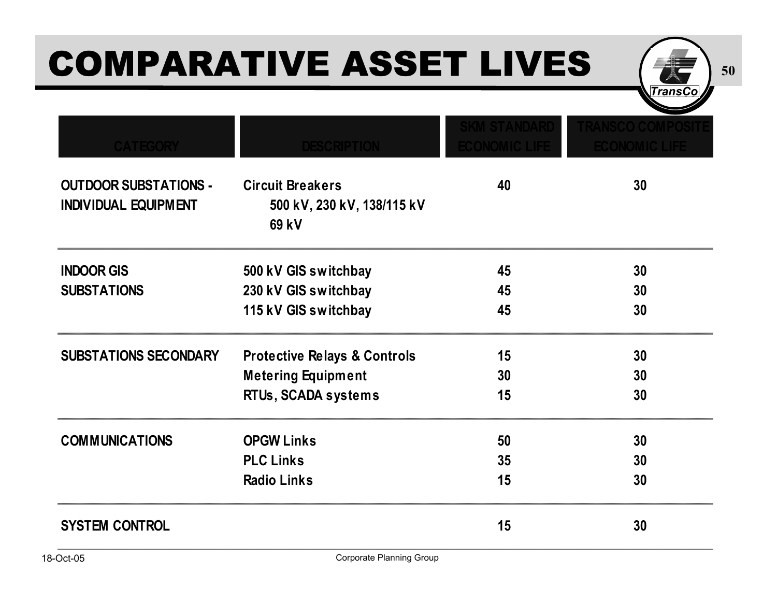# COMPARATIVE ASSET LIVES

| <b>OUTDOOR SUBSTATIONS -</b><br><b>INDIVIDUAL EQUIPMENT</b> | <b>Circuit Breakers</b><br>500 kV, 230 kV, 138/115 kV<br>69 kV | 40 | 30 |
|-------------------------------------------------------------|----------------------------------------------------------------|----|----|
| <b>INDOOR GIS</b>                                           | 500 kV GIS switchbay                                           | 45 | 30 |
| <b>SUBSTATIONS</b>                                          | 230 kV GIS switchbay                                           | 45 | 30 |
|                                                             | 115 kV GIS switchbay                                           | 45 | 30 |
| <b>SUBSTATIONS SECONDARY</b>                                | <b>Protective Relays &amp; Controls</b>                        | 15 | 30 |
|                                                             | <b>Metering Equipment</b>                                      | 30 | 30 |
|                                                             | RTUs, SCADA systems                                            | 15 | 30 |
| <b>COMMUNICATIONS</b>                                       | <b>OPGW Links</b>                                              | 50 | 30 |
|                                                             | <b>PLC Links</b>                                               | 35 | 30 |
|                                                             | <b>Radio Links</b>                                             | 15 | 30 |
| <b>SYSTEM CONTROL</b>                                       |                                                                | 15 | 30 |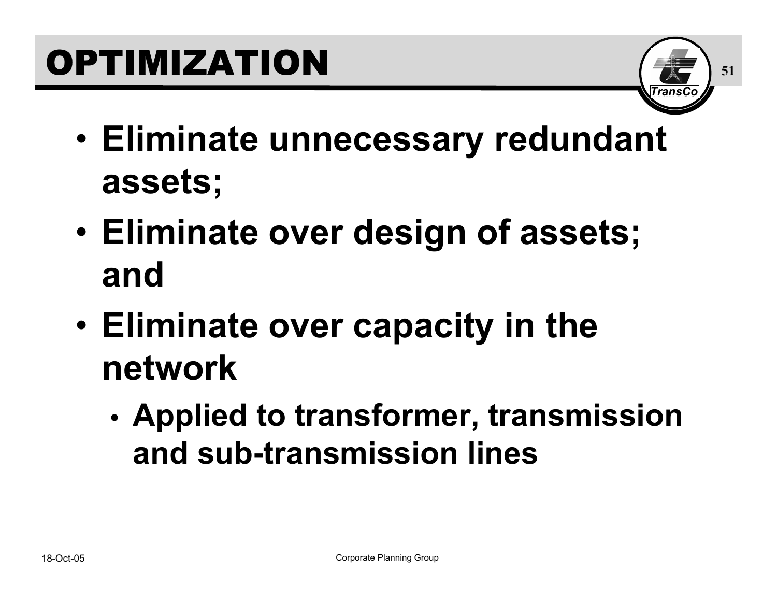# OPTIMIZATION

- *TransCo***51**
- • **Eliminate unnecessary redundant assets;**
- • **Eliminate over design of assets; and**
- • **Eliminate over capacity in the network**
	- **Applied to transformer, transmission and sub-transmission lines**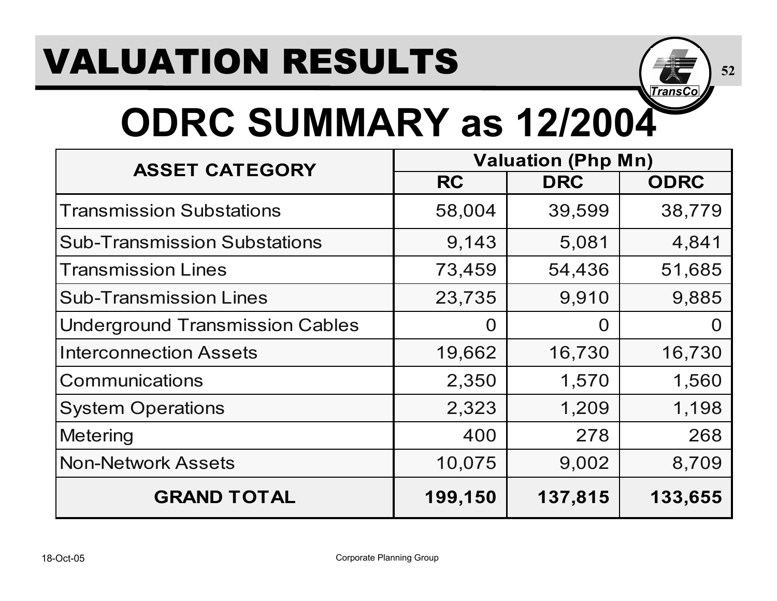#### VALUATION RESULTS**52 52 52**

# **ODRC SUMMARY as 12/2004**

| <b>ASSET CATEGORY</b>                  |           | <b>Valuation (Php Mn)</b> |             |
|----------------------------------------|-----------|---------------------------|-------------|
|                                        | <b>RC</b> | <b>DRC</b>                | <b>ODRC</b> |
| <b>Transmission Substations</b>        | 58,004    | 39,599                    | 38,779      |
| <b>Sub-Transmission Substations</b>    | 9,143     | 5,081                     | 4,841       |
| <b>Transmission Lines</b>              | 73,459    | 54,436                    | 51,685      |
| <b>Sub-Transmission Lines</b>          | 23,735    | 9,910                     | 9,885       |
| <b>Underground Transmission Cables</b> | O         | $\Omega$                  | O           |
| <b>Interconnection Assets</b>          | 19,662    | 16,730                    | 16,730      |
| Communications                         | 2,350     | 1,570                     | 1,560       |
| <b>System Operations</b>               | 2,323     | 1,209                     | 1,198       |
| Metering                               | 400       | 278                       | 268         |
| <b>Non-Network Assets</b>              | 10,075    | 9,002                     | 8,709       |
| <b>GRAND TOTAL</b>                     | 199,150   | 137,815                   | 133,655     |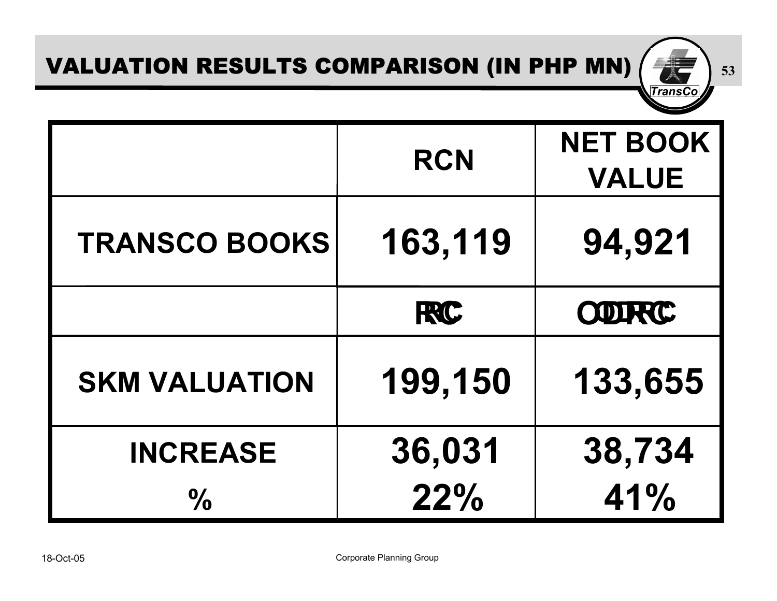|                      |            | <b>NET BOOK</b> |
|----------------------|------------|-----------------|
|                      | <b>RCN</b> | <b>VALUE</b>    |
| <b>TRANSCO BOOKS</b> | 163,119    | 94,921          |
|                      | RC         | <b>ODIRC</b>    |
| <b>SKM VALUATION</b> | 199,150    | 133,655         |
| <b>INCREASE</b>      | 36,031     | 38,734          |
| $\frac{0}{0}$        | 22%        | 41%             |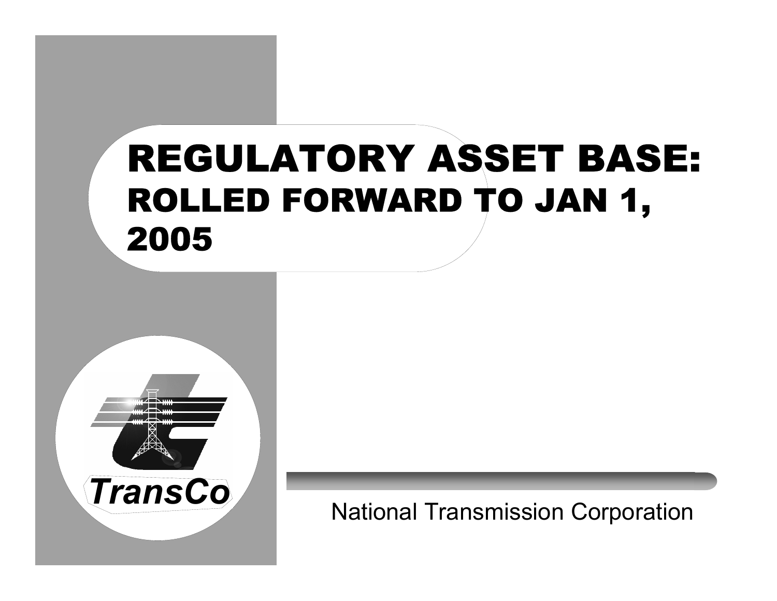# REGULATORY ASSET BASE: ROLLED FORWARD TO JAN 1, 2005



National Transmission Corporation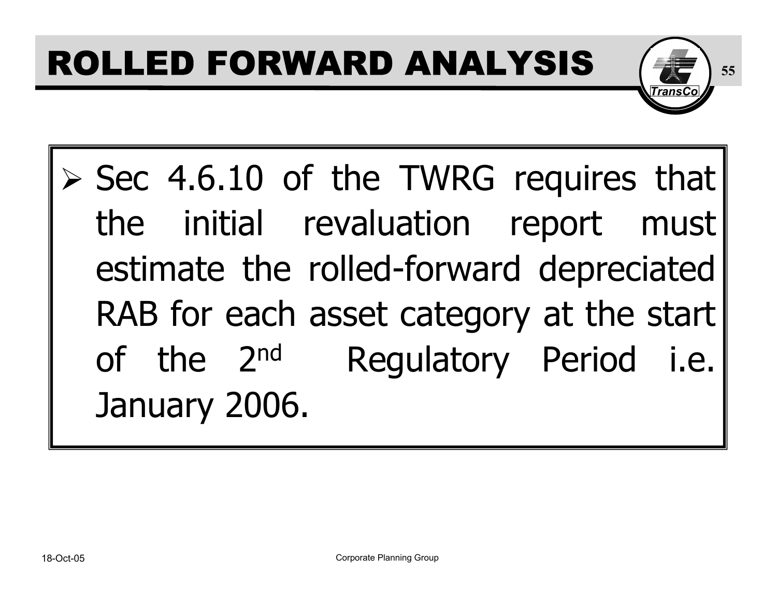# ROLLED FORWARD ANALYSIS (<del>52</del>) 55

 $\triangleright$  Sec 4.6.10 of the TWRG requires that the initial revaluation report must estimate the rolled-forward depreciated RAB for each asset category at the start of the 2nd Regulatory Period i.e. January 2006.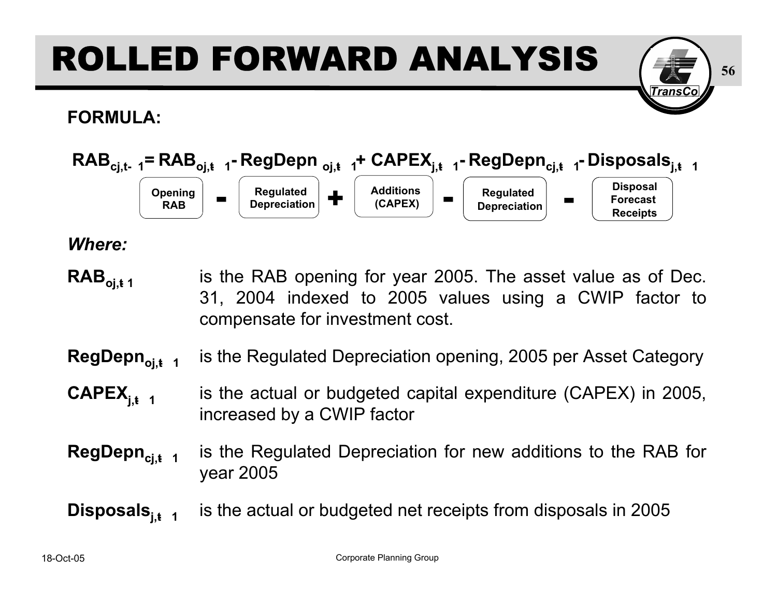# ROLLED FORWARD ANALYSIS (#E)<sub>56</sub>

#### **FORMULA:**



#### *Where:*

- **RAB**<sub>oi.t1</sub> is the RAB opening for year 2005. The asset value as of Dec. 31, 2004 indexed to 2005 values using a CWIP factor to compensate for investment cost.
- **RegDepn<sub>oit 1</sub>** is the Regulated Depreciation opening, 2005 per Asset Category
- **CAPEXj,t- <sup>1</sup>** is the actual or budgeted capital expenditure (CAPEX) in 2005, increased by a CWIP factor
- **RegDepn<sub>ci.t-1</sub>** is the Regulated Depreciation for new additions to the RAB for year 2005
- **Disposals**<sub>11, 1</sub> is the actual or budgeted net receipts from disposals in 2005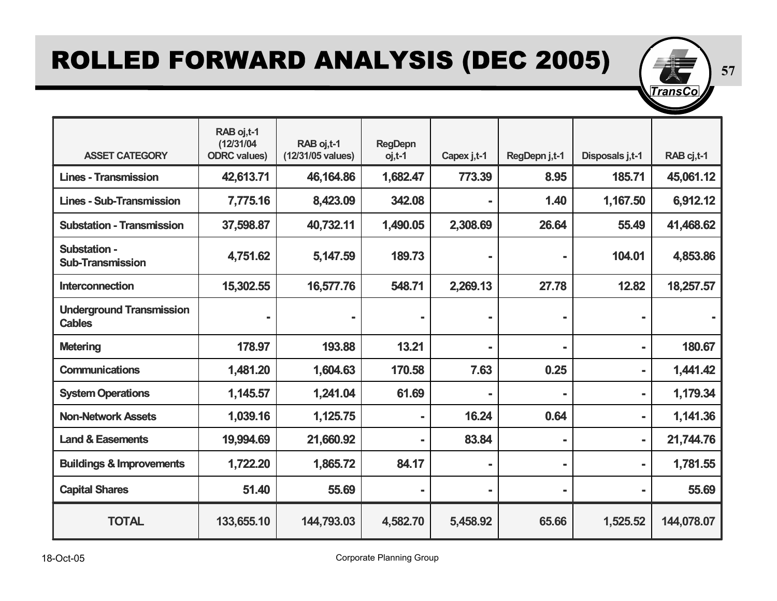### ROLLED FORWARD ANALYSIS (DEC 2005) **Fig.**

| . .<br>$\sim$<br>. . | <u>ransCol</u> |
|----------------------|----------------|
|                      |                |
|                      |                |

| <b>ASSET CATEGORY</b>                            | RAB oj,t-1<br>(12/31/04)<br><b>ODRC</b> values) | RAB oj,t-1<br>(12/31/05 values) | <b>RegDepn</b><br>$oj,t-1$ | Capex j,t-1    | RegDepn j,t-1  | Disposals j,t-1 | RAB cj,t-1 |
|--------------------------------------------------|-------------------------------------------------|---------------------------------|----------------------------|----------------|----------------|-----------------|------------|
| <b>Lines - Transmission</b>                      | 42,613.71                                       | 46,164.86                       | 1,682.47                   | 773.39         | 8.95           | 185.71          | 45,061.12  |
| <b>Lines - Sub-Transmission</b>                  | 7,775.16                                        | 8,423.09                        | 342.08                     |                | 1.40           | 1,167.50        | 6,912.12   |
| <b>Substation - Transmission</b>                 | 37,598.87                                       | 40,732.11                       | 1,490.05                   | 2,308.69       | 26.64          | 55.49           | 41,468.62  |
| <b>Substation -</b><br><b>Sub-Transmission</b>   | 4,751.62                                        | 5, 147.59                       | 189.73                     |                | $\blacksquare$ | 104.01          | 4,853.86   |
| Interconnection                                  | 15,302.55                                       | 16,577.76                       | 548.71                     | 2,269.13       | 27.78          | 12.82           | 18,257.57  |
| <b>Underground Transmission</b><br><b>Cables</b> |                                                 |                                 |                            |                |                | $\blacksquare$  |            |
| <b>Metering</b>                                  | 178.97                                          | 193.88                          | 13.21                      | $\blacksquare$ | $\blacksquare$ | ۰               | 180.67     |
| <b>Communications</b>                            | 1,481.20                                        | 1,604.63                        | 170.58                     | 7.63           | 0.25           | $\blacksquare$  | 1,441.42   |
| <b>System Operations</b>                         | 1,145.57                                        | 1,241.04                        | 61.69                      |                | Ξ.             | $\blacksquare$  | 1,179.34   |
| <b>Non-Network Assets</b>                        | 1,039.16                                        | 1,125.75                        | ۰                          | 16.24          | 0.64           | $\blacksquare$  | 1,141.36   |
| <b>Land &amp; Easements</b>                      | 19,994.69                                       | 21,660.92                       |                            | 83.84          |                | ۰.              | 21,744.76  |
| <b>Buildings &amp; Improvements</b>              | 1,722.20                                        | 1,865.72                        | 84.17                      |                | $\blacksquare$ | $\blacksquare$  | 1,781.55   |
| <b>Capital Shares</b>                            | 51.40                                           | 55.69                           | ۰                          |                | $\blacksquare$ | $\blacksquare$  | 55.69      |
| <b>TOTAL</b>                                     | 133,655.10                                      | 144,793.03                      | 4,582.70                   | 5,458.92       | 65.66          | 1,525.52        | 144,078.07 |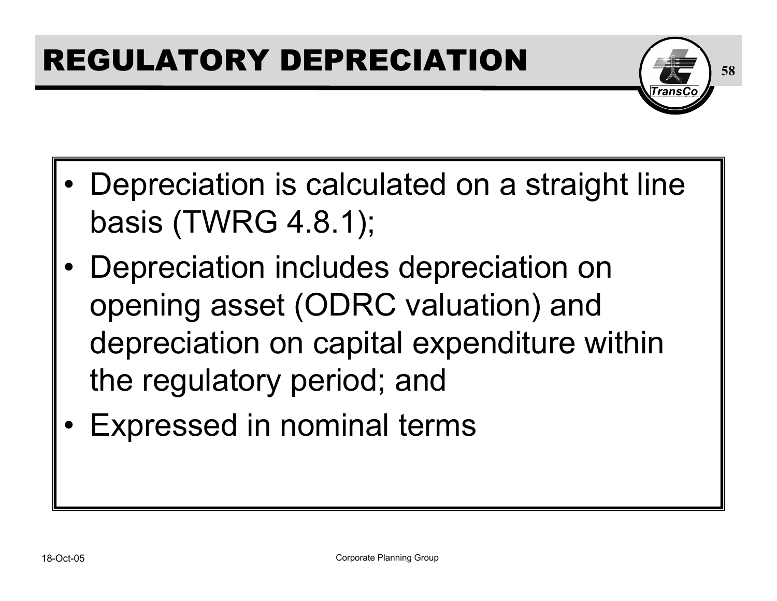#### REGULATORY DEPRECIATION**58**

• Depreciation is calculated on a straight line basis (TWRG 4.8.1);

- • Depreciation includes depreciation on opening asset (ODRC valuation) and depreciation on capital expenditure within the regulatory period; and
- Expressed in nominal terms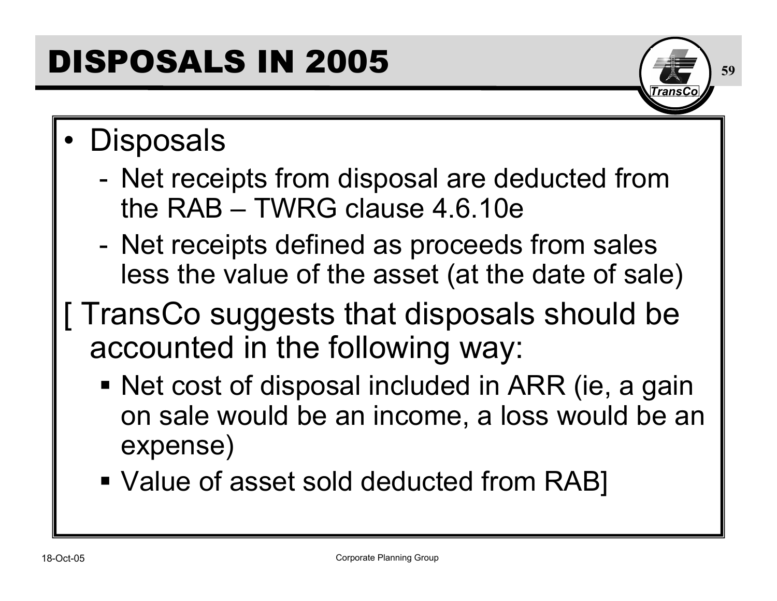- •**Disposals** 
	- - Net receipts from disposal are deducted from the RAB – TWRG clause 4.6.10e

- - Net receipts defined as proceeds from sales less the value of the asset (at the date of sale)
- [ TransCo suggests that disposals should be accounted in the following way:
	- Net cost of disposal included in ARR (ie, a gain on sale would be an income, a loss would be an expense)
	- Value of asset sold deducted from RAB]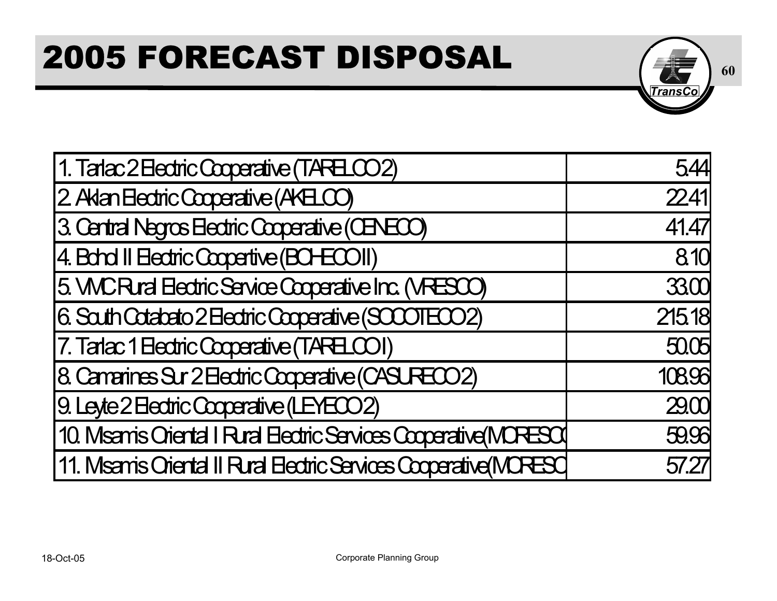#### 2005 FORECAST DISPOSAL**60 60 60 60 60 60**

| 1. Tarlac 2 Electric Cooperative (TARELCO2)                       | 544    |
|-------------------------------------------------------------------|--------|
| 2 Aklan Electric Cooperative (AKELCO)                             | 2241   |
| 3. Central Negros Electric Cooperative (CENECO)                   | 41.47  |
| 4. Bohd II Electric Coopertive (BCHECOII)                         | 8.10   |
| 5 WCRud Electric Service Cooperative Inc. (VRESCO)                | 3300   |
| 6. South Cotabeto 2 Electric Cooperative (SOCOTECO2)              | 215.18 |
| 7. Tarlac 1 Electric Cooperative (TARELCOI)                       | 50.05  |
| 8. Canarines Sur 2 Electric Cooperative (CASURECO2)               | 108.96 |
| 9. Leyte 2 Electric Cooperative (LEYECO2)                         | 29.00  |
| 10 Msanis Criental I Rural Electric Services Cooperative (MORESC  | 5996   |
| 11. Msanis Criental II Rural Electric Services Cooperative (MORES |        |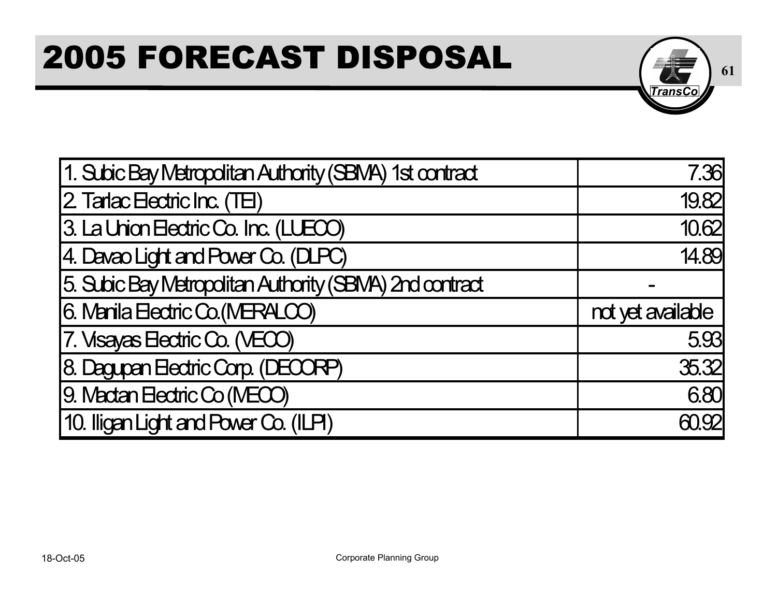### 2005 FORECAST DISPOSAL

| 1. Subic Bay Metropolitan Authority (SBMA) 1st contract | 7.36             |
|---------------------------------------------------------|------------------|
| 2 Tarlac Electric Inc. (TEI)                            | 19.82            |
| 3. La Union Electric Co. Inc. (LUECO)                   | 10.62            |
| 4. Davao Light and Power Co. (DLPC)                     | 14.89            |
| 5. Subic Bay Metropolitan Authority (SBMA) 2nd contract |                  |
|                                                         |                  |
| 6. Manila Electric Co. (MERALCO)                        | nd yet available |
| 7. Visayas Electric Co. (VECO)                          | 5.93             |
| 8. Dagupan Electric Corp. (DECORP)                      | 35.32            |
| 9. Mactan Electric Co (MECO)                            | 6.80             |

*TransCo*

**61**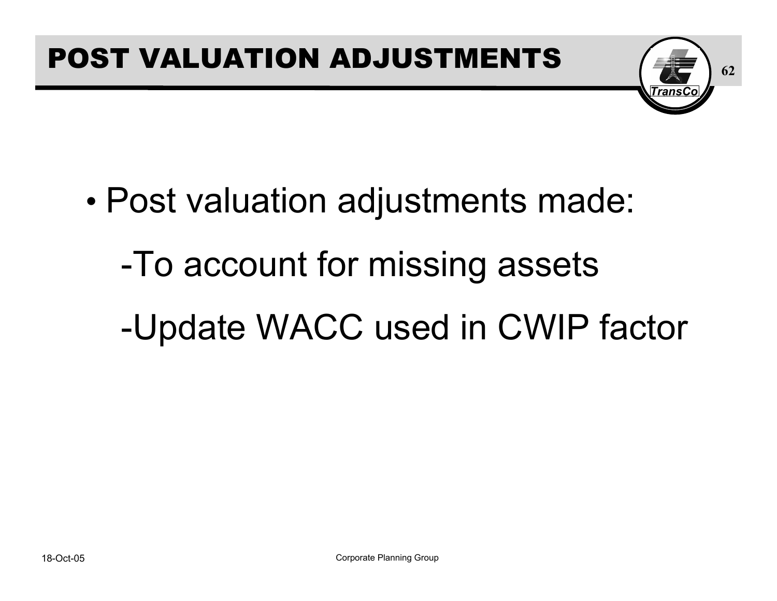*TransCo***62 62** 

- • Post valuation adjustments made:
	- -To account for missing assets
	- -Update WACC used in CWIP factor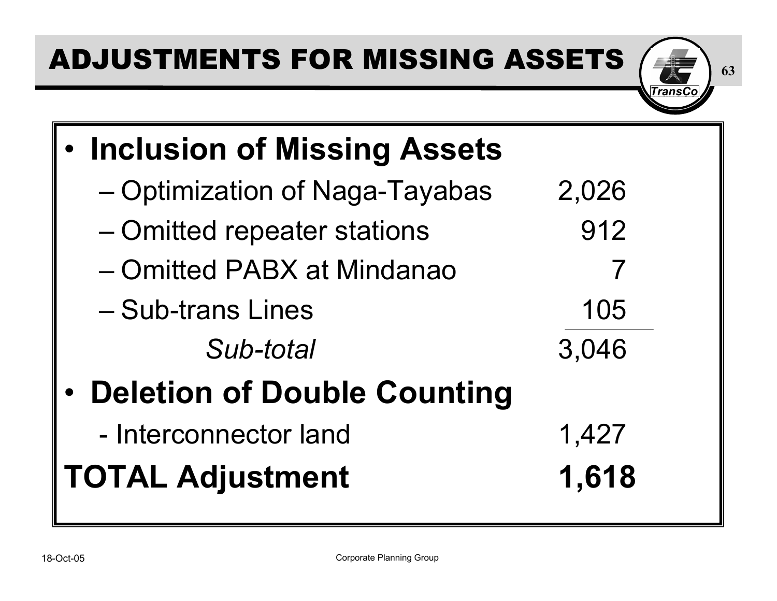### ADJUSTMENTS FOR MISSING ASSETS  $\left(\frac{1}{2}\mathbf{E}\right)_{63}$

| . Inclusion of Missing Assets  |       |  |  |  |
|--------------------------------|-------|--|--|--|
| - Optimization of Naga-Tayabas | 2,026 |  |  |  |
| - Omitted repeater stations    | 912   |  |  |  |
| - Omitted PABX at Mindanao     |       |  |  |  |
| - Sub-trans Lines              | 105   |  |  |  |
| Sub-total                      | 3,046 |  |  |  |
| • Deletion of Double Counting  |       |  |  |  |
| - Interconnector land          | 1,427 |  |  |  |
| <b>TOTAL Adjustment</b>        | 1,618 |  |  |  |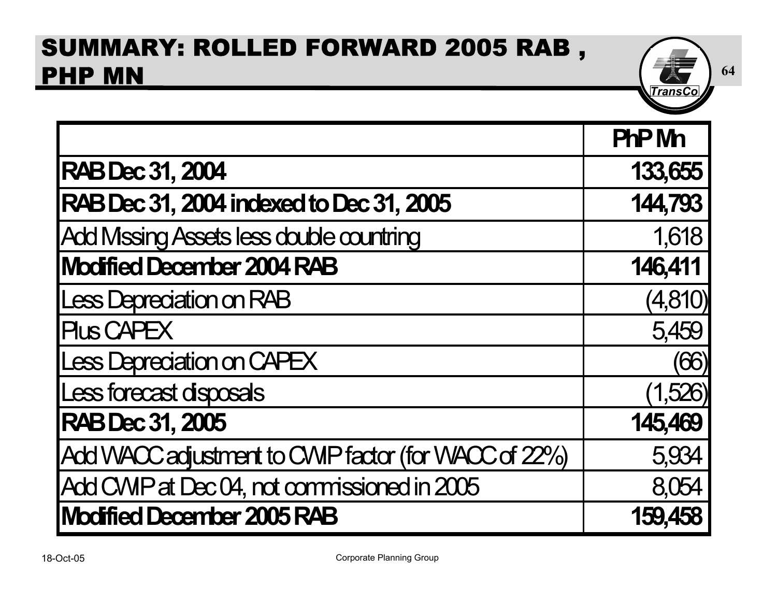### SUMMARY: ROLLED FORWARD 2005 RAB , PHP MN

|                                                      | <b>PhP Mn</b> |
|------------------------------------------------------|---------------|
| <b>RAB Dec 31, 2004</b>                              | 133,655       |
| <b>RAB Dec 31, 2004 indexed to Dec 31, 2005</b>      | 144,793       |
| Add Mssing Assets less double countring              | 1,618         |
| <b>Modified December 2004 RAB</b>                    | 146,411       |
| Less Depredation on RAB                              | (4,810)       |
| <b>Plus CAPEX</b>                                    | 5,459         |
| <b>Less Depreciation on CAPEX</b>                    | (66)          |
| Less forecast disposals                              | (1,526)       |
| <b>RAB Dec 31, 2005</b>                              | 145,469       |
| Add WACC adjustment to CWIP factor (for WACC of 22%) | 5,934         |
| Add CWIP at Dec 04, not commissioned in 2005         | 8,054         |
| <b>Modified December 2005 RAB</b>                    | 159,458       |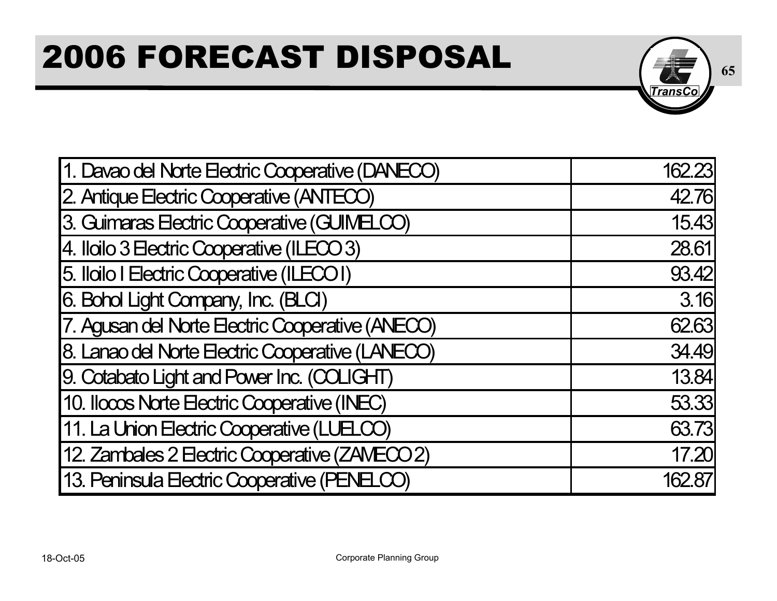#### 2006 FORECAST DISPOSAL**65 65**

| 1. Davao del Norte Electric Cooperative (DANECO) | 162.23 |
|--------------------------------------------------|--------|
| 2. Antique Electric Cooperative (ANTECO)         | 42.76  |
| 3. Guimaras Electric Cooperative (GUIMELCO)      | 15.43  |
| 4. Iloilo 3 Electric Cooperative (ILECO 3)       | 28.61  |
| 5. Iloilo I Electric Cooperative (ILECO I)       | 93.42  |
| 6. Bohol Light Company, Inc. (BLCI)              | 3.16   |
| 7. Agusan del Norte Electric Cooperative (ANECO) | 62.63  |
| 8. Lanao del Norte Electric Cooperative (LANECO) | 34.49  |
| 9. Cotabato Light and Power Inc. (COLIGHT)       | 13.84  |
| 10. Ilocos Norte Electric Cooperative (INEC)     | 53.33  |
| 11. La Union Electric Cooperative (LUELCO)       | 63.73  |
| 12. Zambales 2 Electric Cooperative (ZAMECO 2)   | 17.20  |
| 13. Peninsula Electric Cooperative (PENELCO)     | 162.87 |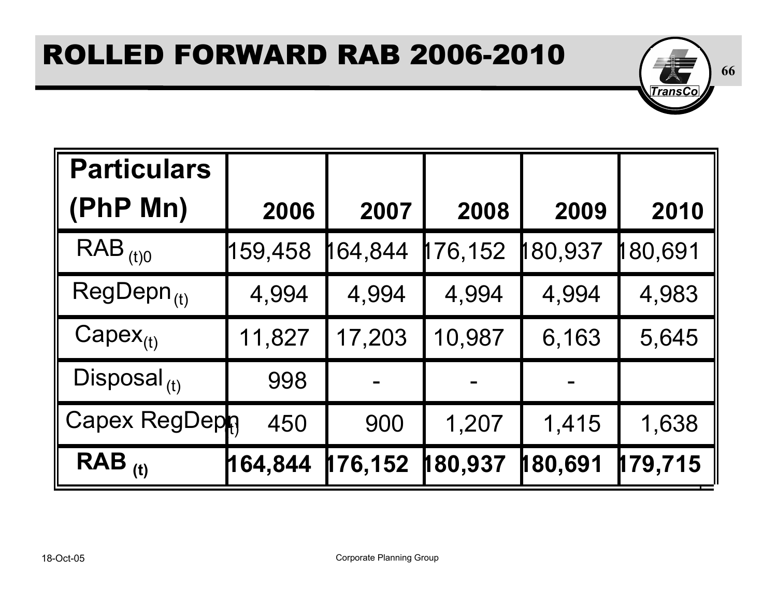### ROLLED FORWARD RAB 2006-2010

| <b>Particulars</b>               |         |          |         |         |         |
|----------------------------------|---------|----------|---------|---------|---------|
| (PhP Mn)                         | 2006    | 2007     | 2008    | 2009    | 2010    |
| $RAB$ <sub>(t)0</sub>            | 159,458 | 164,844  | 76,152  | 80,937  | 80,691  |
| $RegDepn_{(t)}$                  | 4,994   | 4,994    | 4,994   | 4,994   | 4,983   |
| $Capex_{(t)}$                    | 11,827  | 17,203   | 10,987  | 6,163   | 5,645   |
| Disposal $_{(t)}$                | 998     |          |         |         |         |
| ∥ Capex RegDep <mark>l</mark> ନ୍ | 450     | 900      | 1,207   | 1,415   | 1,638   |
| $RAB$ <sub>(t)</sub>             | 164,844 | 176, 152 | 180,937 | 180,691 | 179,715 |

*TransCo*

**66**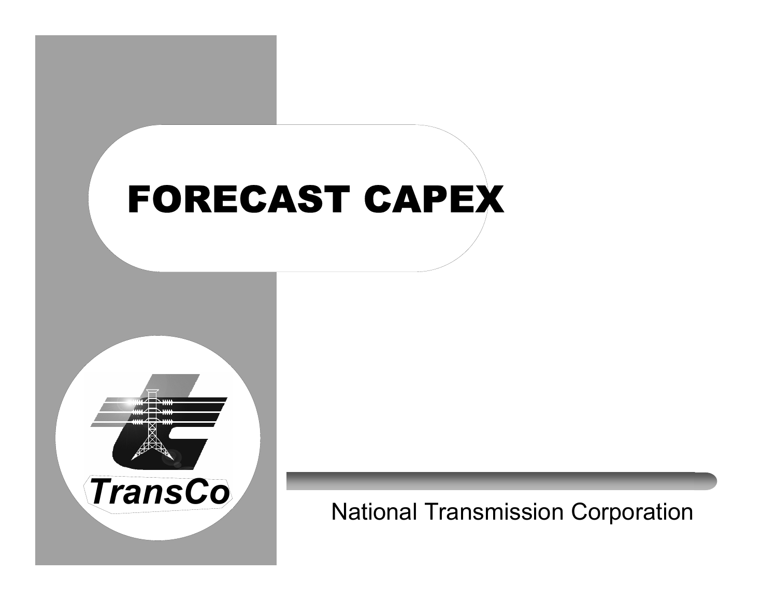



National Transmission Corporation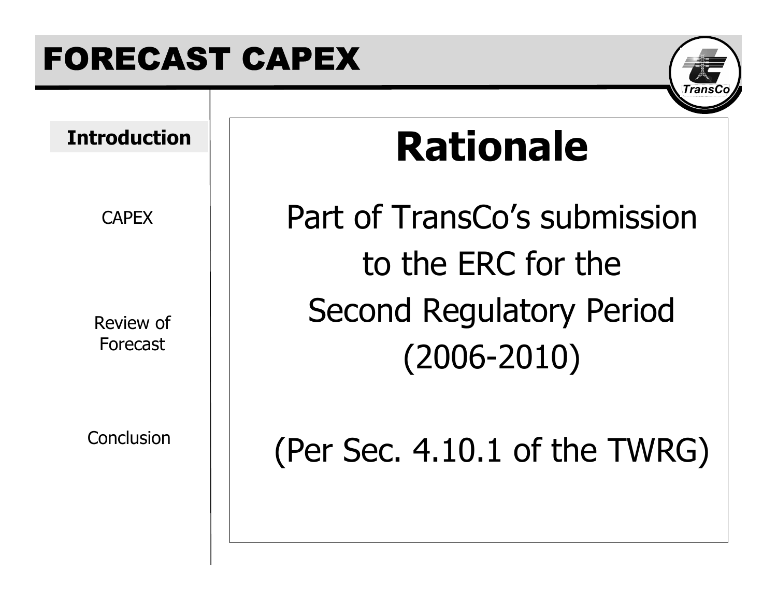**Introduction**

CAPEX

Review of Forecast

**Conclusion** 

# **Rationale**

*TransCo*

Part of TransCo's submission to the ERC for the Second Regulatory Period (2006-2010)

(Per Sec. 4.10.1 of the TWRG)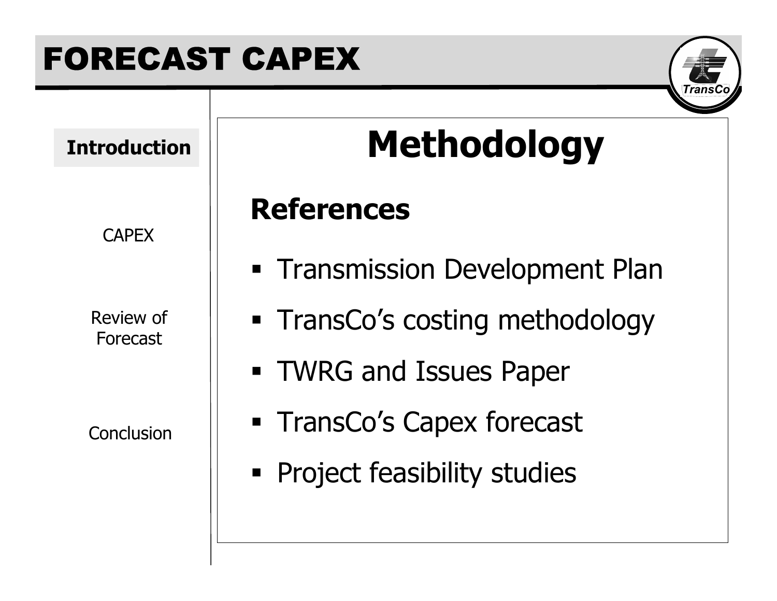**Introduction**

CAPEX

Review of Forecast

Conclusion

# **Methodology**

### **References**

- **Transmission Development Plan**
- **TransCo's costing methodology**
- **TWRG and Issues Paper**
- **TransCo's Capex forecast**
- **Project feasibility studies**

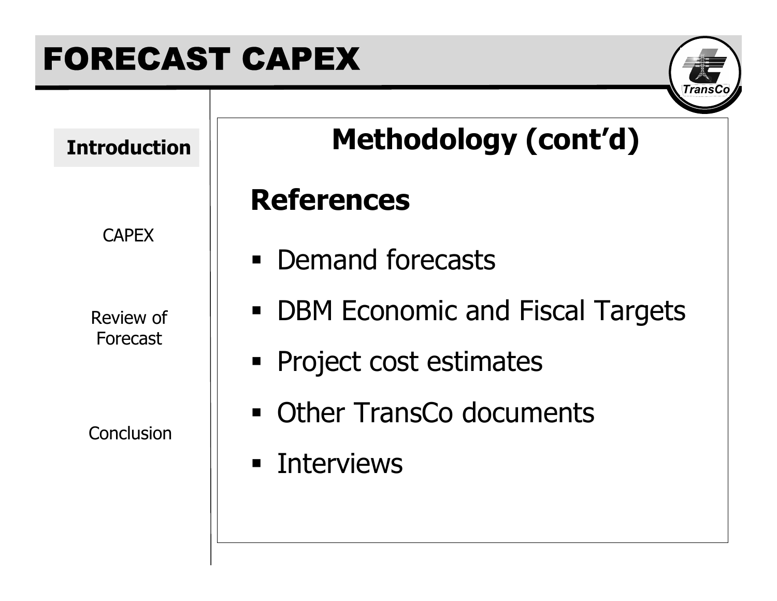**Introduction**

CAPEX

Review of Forecast

**Conclusion** 

# **Methodology (cont'd)**

### **References**

- **Demand forecasts**
- **DBM Economic and Fiscal Targets**
- **Project cost estimates**
- **Other TransCo documents**
- **E** Interviews

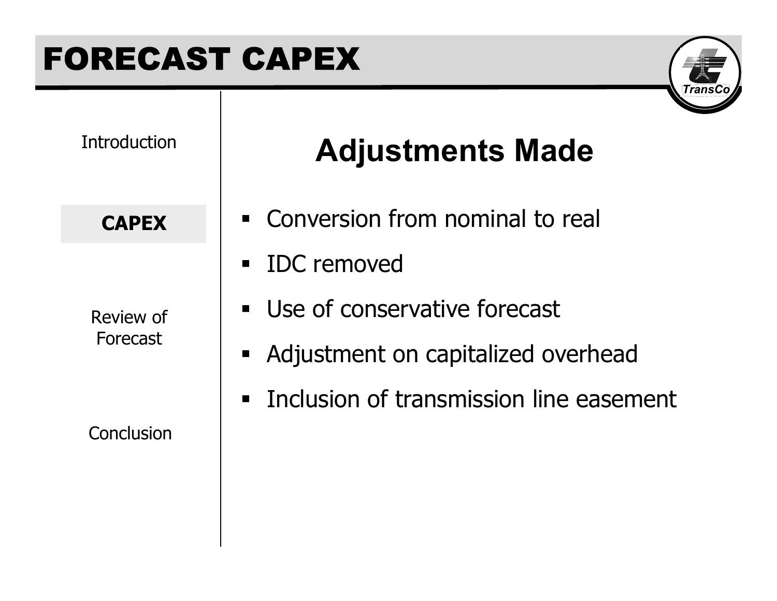

**CAPEX**

Review of Forecast

**Conclusion** 

### **Adjustments Made**

- Conversion from nominal to real
- **IDC** removed
- Use of conservative forecast
- Adjustment on capitalized overhead
- **Inclusion of transmission line easement**

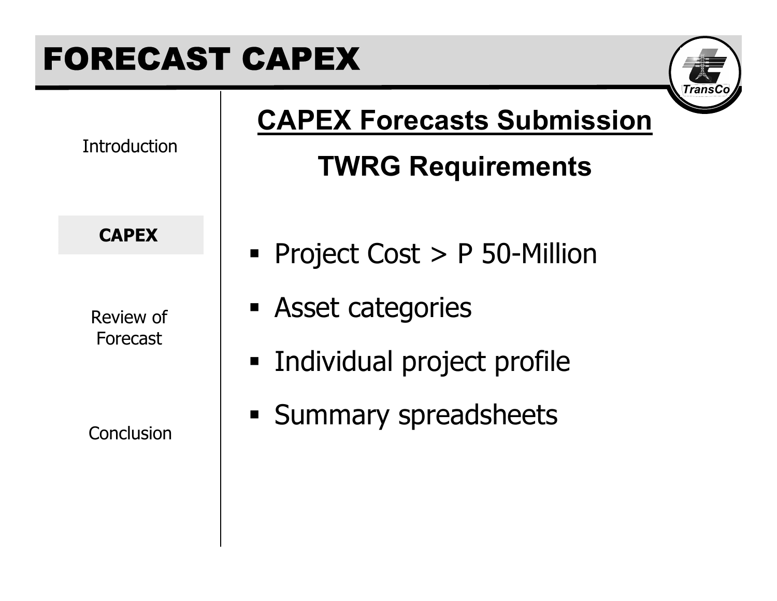**Introduction** 

**CAPEX**

Review of Forecast

**Conclusion** 

# **CAPEX Forecasts Submission**

### **TWRG Requirements**

- Project Cost > P 50-Million
- **Asset categories**
- **Example 1 Individual project profile**
- **Summary spreadsheets**

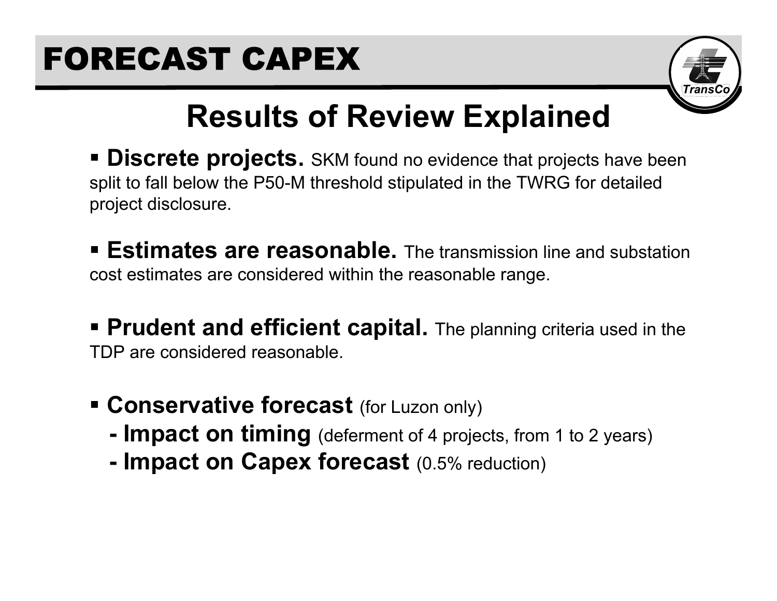

# **Results of Review Explained**

**Discrete projects.** SKM found no evidence that projects have been split to fall below the P50-M threshold stipulated in the TWRG for detailed project disclosure.

 **Estimates are reasonable.** The transmission line and substation cost estimates are considered within the reasonable range.

- **Prudent and efficient capital.** The planning criteria used in the TDP are considered reasonable.
- **Conservative forecast** (for Luzon only)
	- **-Impact on timing** (deferment of 4 projects, from 1 to 2 years)
	- **- Impact on Capex forecast** (0.5% reduction)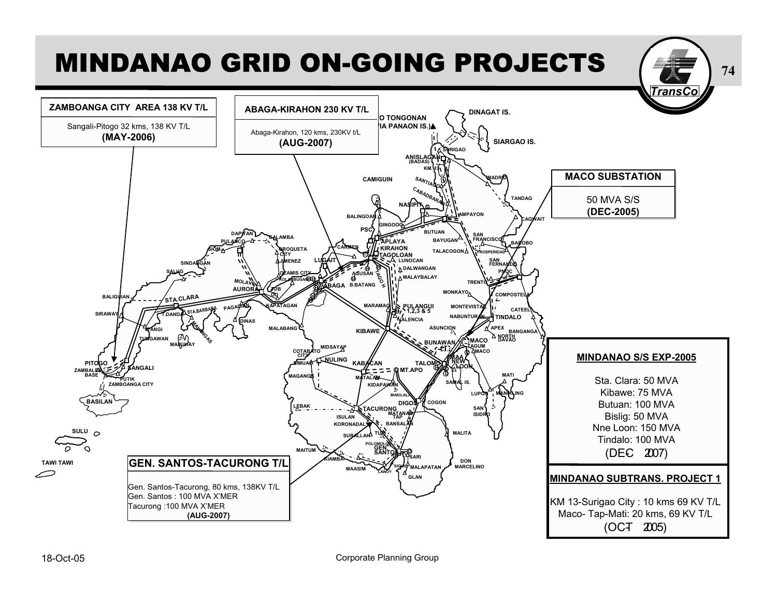## MINDANAO GRID ON-GOING PROJECTS



**74**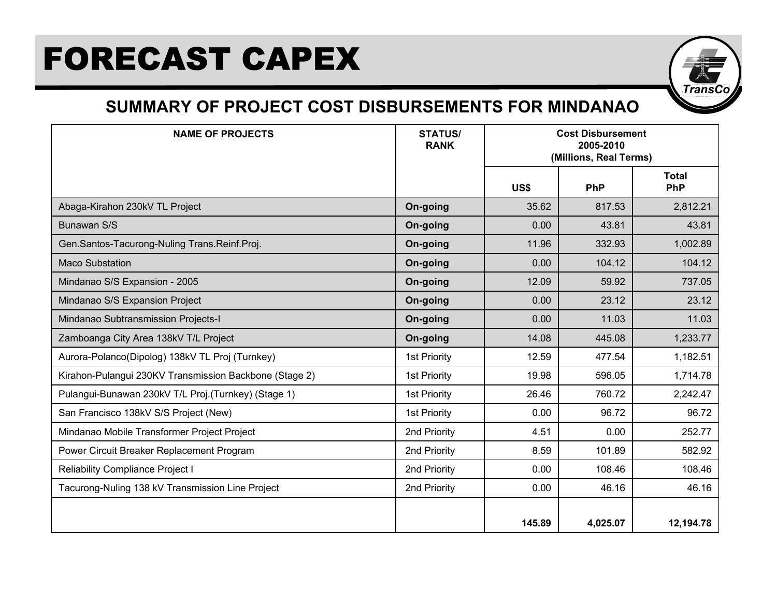

#### **SUMMARY OF PROJECT COST DISBURSEMENTS FOR MINDANAO**

| <b>NAME OF PROJECTS</b>                                | <b>STATUS/</b><br><b>RANK</b> | <b>Cost Disbursement</b><br>2005-2010<br>(Millions, Real Terms) |          |                            |
|--------------------------------------------------------|-------------------------------|-----------------------------------------------------------------|----------|----------------------------|
|                                                        |                               | US\$                                                            | PhP      | <b>Total</b><br><b>PhP</b> |
| Abaga-Kirahon 230kV TL Project                         | On-going                      | 35.62                                                           | 817.53   | 2,812.21                   |
| Bunawan S/S                                            | On-going                      | 0.00                                                            | 43.81    | 43.81                      |
| Gen.Santos-Tacurong-Nuling Trans.Reinf.Proj.           | On-going                      | 11.96                                                           | 332.93   | 1,002.89                   |
| <b>Maco Substation</b>                                 | On-going                      | 0.00                                                            | 104.12   | 104.12                     |
| Mindanao S/S Expansion - 2005                          | On-going                      | 12.09                                                           | 59.92    | 737.05                     |
| Mindanao S/S Expansion Project                         | On-going                      | 0.00                                                            | 23.12    | 23.12                      |
| Mindanao Subtransmission Projects-I                    | On-going                      | 0.00                                                            | 11.03    | 11.03                      |
| Zamboanga City Area 138kV T/L Project                  | On-going                      | 14.08                                                           | 445.08   | 1,233.77                   |
| Aurora-Polanco(Dipolog) 138kV TL Proj (Turnkey)        | 1st Priority                  | 12.59                                                           | 477.54   | 1,182.51                   |
| Kirahon-Pulangui 230KV Transmission Backbone (Stage 2) | 1st Priority                  | 19.98                                                           | 596.05   | 1,714.78                   |
| Pulangui-Bunawan 230kV T/L Proj.(Turnkey) (Stage 1)    | 1st Priority                  | 26.46                                                           | 760.72   | 2,242.47                   |
| San Francisco 138kV S/S Project (New)                  | 1st Priority                  | 0.00                                                            | 96.72    | 96.72                      |
| Mindanao Mobile Transformer Project Project            | 2nd Priority                  | 4.51                                                            | 0.00     | 252.77                     |
| Power Circuit Breaker Replacement Program              | 2nd Priority                  | 8.59                                                            | 101.89   | 582.92                     |
| Reliability Compliance Project I                       | 2nd Priority                  | 0.00                                                            | 108.46   | 108.46                     |
| Tacurong-Nuling 138 kV Transmission Line Project       | 2nd Priority                  | 0.00                                                            | 46.16    | 46.16                      |
|                                                        |                               | 145.89                                                          | 4,025.07 | 12,194.78                  |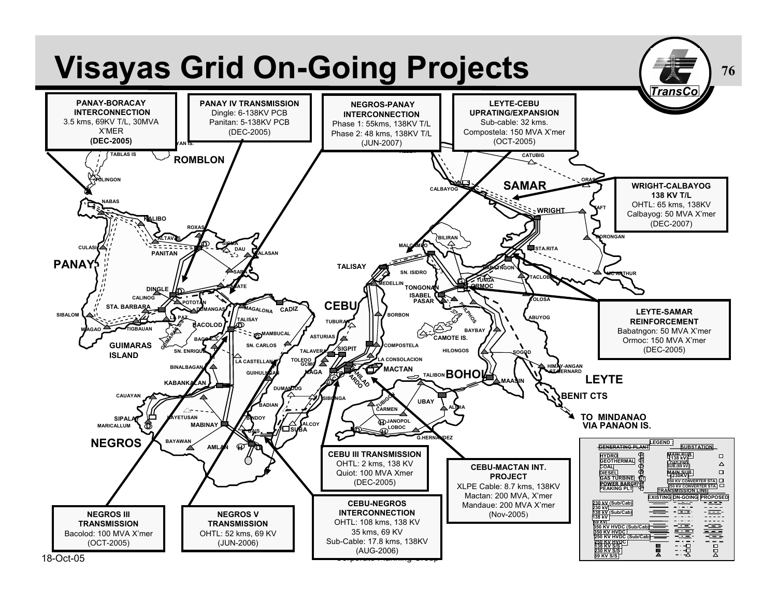# **Visayas Grid On-Going Projects**



**76**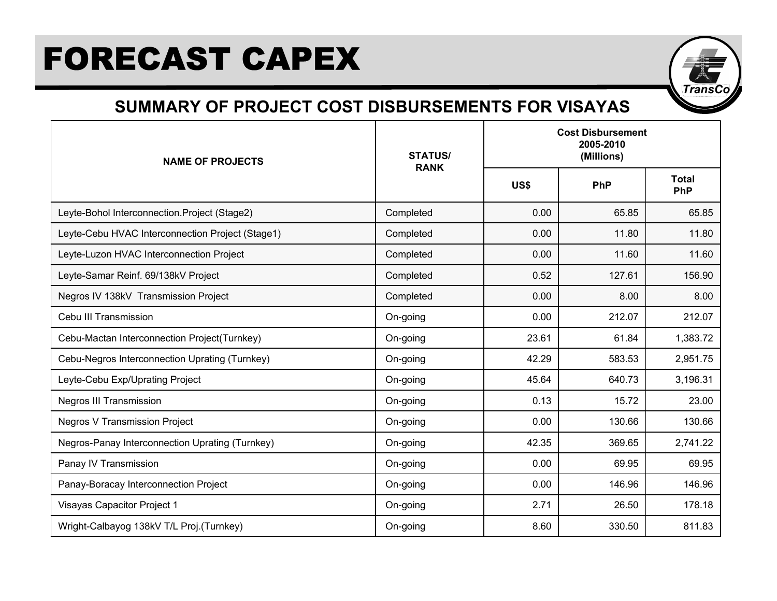

#### **SUMMARY OF PROJECT COST DISBURSEMENTS FOR VISAYAS**

| <b>NAME OF PROJECTS</b>                          | <b>STATUS/</b><br><b>RANK</b> | <b>Cost Disbursement</b><br>2005-2010<br>(Millions) |        |                     |
|--------------------------------------------------|-------------------------------|-----------------------------------------------------|--------|---------------------|
|                                                  |                               | US\$                                                | PhP    | <b>Total</b><br>PhP |
| Leyte-Bohol Interconnection.Project (Stage2)     | Completed                     | 0.00                                                | 65.85  | 65.85               |
| Leyte-Cebu HVAC Interconnection Project (Stage1) | Completed                     | 0.00                                                | 11.80  | 11.80               |
| Leyte-Luzon HVAC Interconnection Project         | Completed                     | 0.00                                                | 11.60  | 11.60               |
| Leyte-Samar Reinf. 69/138kV Project              | Completed                     | 0.52                                                | 127.61 | 156.90              |
| Negros IV 138kV Transmission Project             | Completed                     | 0.00                                                | 8.00   | 8.00                |
| Cebu III Transmission                            | On-going                      | 0.00                                                | 212.07 | 212.07              |
| Cebu-Mactan Interconnection Project(Turnkey)     | On-going                      | 23.61                                               | 61.84  | 1,383.72            |
| Cebu-Negros Interconnection Uprating (Turnkey)   | On-going                      | 42.29                                               | 583.53 | 2,951.75            |
| Leyte-Cebu Exp/Uprating Project                  | On-going                      | 45.64                                               | 640.73 | 3,196.31            |
| <b>Negros III Transmission</b>                   | On-going                      | 0.13                                                | 15.72  | 23.00               |
| <b>Negros V Transmission Project</b>             | On-going                      | 0.00                                                | 130.66 | 130.66              |
| Negros-Panay Interconnection Uprating (Turnkey)  | On-going                      | 42.35                                               | 369.65 | 2,741.22            |
| Panay IV Transmission                            | On-going                      | 0.00                                                | 69.95  | 69.95               |
| Panay-Boracay Interconnection Project            | On-going                      | 0.00                                                | 146.96 | 146.96              |
| <b>Visayas Capacitor Project 1</b>               | On-going                      | 2.71                                                | 26.50  | 178.18              |
| Wright-Calbayog 138kV T/L Proj.(Turnkey)         | On-going                      | 8.60                                                | 330.50 | 811.83              |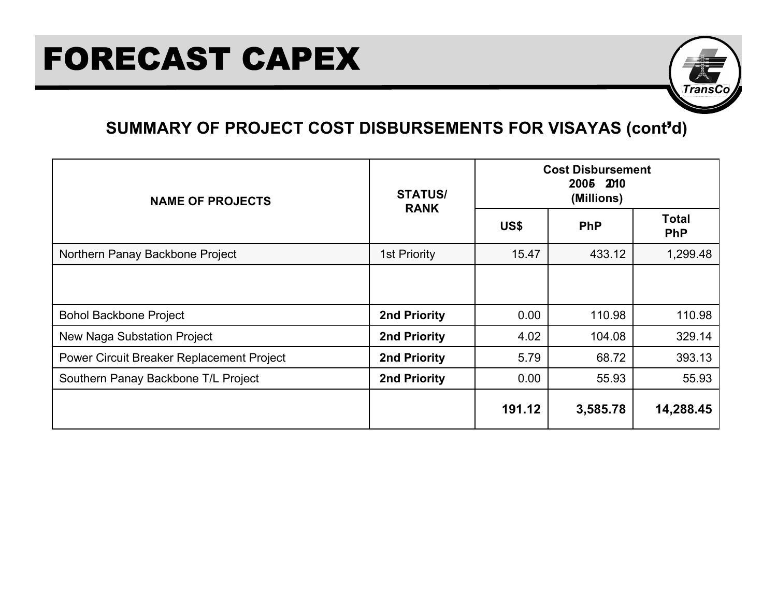

#### **SUMMARY OF PROJECT COST DISBURSEMENTS FOR VISAYAS (cont**'**d)**

| <b>NAME OF PROJECTS</b>                   | <b>STATUS/</b><br><b>RANK</b> | <b>Cost Disbursement</b><br>2005 2010<br>(Millions) |            |                            |
|-------------------------------------------|-------------------------------|-----------------------------------------------------|------------|----------------------------|
|                                           |                               | US\$                                                | <b>PhP</b> | <b>Total</b><br><b>PhP</b> |
| Northern Panay Backbone Project           | 1st Priority                  | 15.47                                               | 433.12     | 1,299.48                   |
|                                           |                               |                                                     |            |                            |
| <b>Bohol Backbone Project</b>             | 2nd Priority                  | 0.00                                                | 110.98     | 110.98                     |
| New Naga Substation Project               | <b>2nd Priority</b>           | 4.02                                                | 104.08     | 329.14                     |
| Power Circuit Breaker Replacement Project | <b>2nd Priority</b>           | 5.79                                                | 68.72      | 393.13                     |
| Southern Panay Backbone T/L Project       | <b>2nd Priority</b>           | 0.00                                                | 55.93      | 55.93                      |
|                                           |                               | 191.12                                              | 3,585.78   | 14,288.45                  |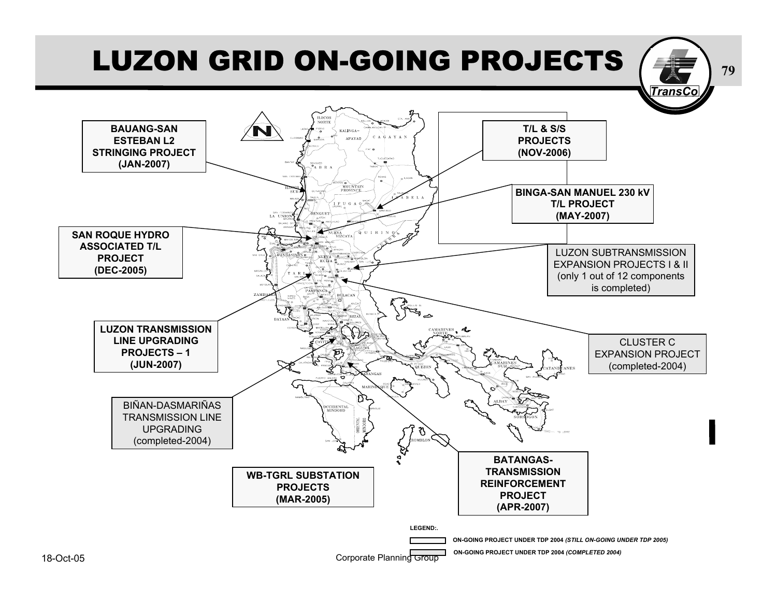## LUZON GRID ON-GOING PROJECTS



**79**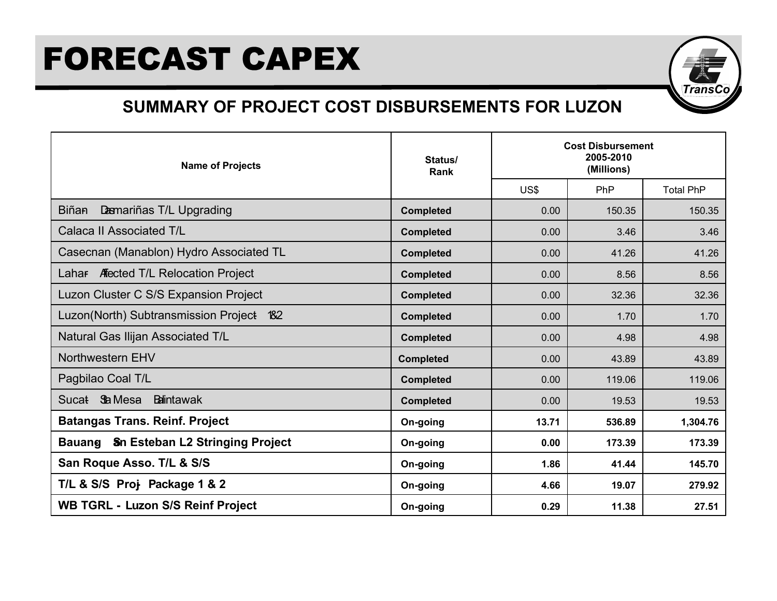

#### **SUMMARY OF PROJECT COST DISBURSEMENTS FOR LUZON**

| <b>Name of Projects</b>                        | Status/<br><b>Rank</b> | <b>Cost Disbursement</b><br>2005-2010<br>(Millions) |        |                  |
|------------------------------------------------|------------------------|-----------------------------------------------------|--------|------------------|
|                                                |                        | US\$                                                | PhP    | <b>Total PhP</b> |
| <b>Biñan</b><br>Demariñas T/L Upgrading        | <b>Completed</b>       | 0.00                                                | 150.35 | 150.35           |
| Calaca II Associated T/L                       | <b>Completed</b>       | 0.00                                                | 3.46   | 3.46             |
| Casecnan (Manablon) Hydro Associated TL        | <b>Completed</b>       | 0.00                                                | 41.26  | 41.26            |
| Affected T/L Relocation Project<br>Lahar       | <b>Completed</b>       | 0.00                                                | 8.56   | 8.56             |
| Luzon Cluster C S/S Expansion Project          | <b>Completed</b>       | 0.00                                                | 32.36  | 32.36            |
| Luzon(North) Subtransmission Project 182       | <b>Completed</b>       | 0.00                                                | 1.70   | 1.70             |
| Natural Gas Ilijan Associated T/L              | <b>Completed</b>       | 0.00                                                | 4.98   | 4.98             |
| <b>Northwestern EHV</b>                        | <b>Completed</b>       | 0.00                                                | 43.89  | 43.89            |
| Pagbilao Coal T/L                              | <b>Completed</b>       | 0.00                                                | 119.06 | 119.06           |
| Sucat <b>S</b> a Mesa<br>Balintawak            | <b>Completed</b>       | 0.00                                                | 19.53  | 19.53            |
| <b>Batangas Trans. Reinf. Project</b>          | On-going               | 13.71                                               | 536.89 | 1,304.76         |
| Bauang <b>S</b> n Esteban L2 Stringing Project | On-going               | 0.00                                                | 173.39 | 173.39           |
| San Roque Asso. T/L & S/S                      | On-going               | 1.86<br>41.44                                       |        | 145.70           |
| T/L & S/S Proj Package 1 & 2                   | On-going               | 4.66<br>19.07                                       |        | 279.92           |
| <b>WB TGRL - Luzon S/S Reinf Project</b>       | On-going               | 0.29<br>11.38                                       |        | 27.51            |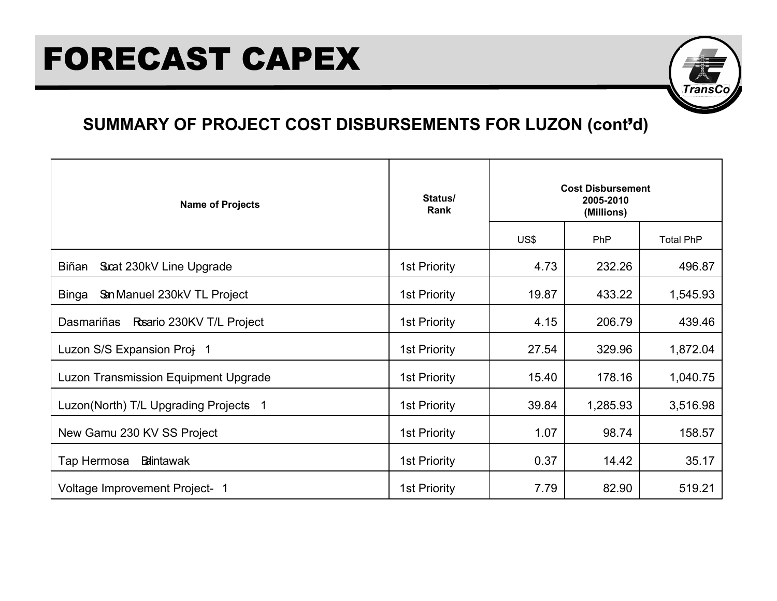

#### **SUMMARY OF PROJECT COST DISBURSEMENTS FOR LUZON (cont**'**d)**

| <b>Name of Projects</b>                     | Status/<br>Rank | <b>Cost Disbursement</b><br>2005-2010<br>(Millions) |          |                  |
|---------------------------------------------|-----------------|-----------------------------------------------------|----------|------------------|
|                                             |                 | US\$                                                | PhP      | <b>Total PhP</b> |
| <b>Biñan</b><br>Strat 230kV Line Upgrade    | 1st Priority    | 4.73                                                | 232.26   | 496.87           |
| San Manuel 230kV TL Project<br><b>Binga</b> | 1st Priority    | 19.87                                               | 433.22   | 1,545.93         |
| Dasmariñas<br>Reario 230KV T/L Project      | 1st Priority    | 4.15                                                | 206.79   | 439.46           |
| Luzon S/S Expansion Proj 1                  | 1st Priority    | 27.54                                               | 329.96   | 1,872.04         |
| <b>Luzon Transmission Equipment Upgrade</b> | 1st Priority    | 15.40                                               | 178.16   | 1,040.75         |
| Luzon(North) T/L Upgrading Projects 1       | 1st Priority    | 39.84                                               | 1,285.93 | 3,516.98         |
| New Gamu 230 KV SS Project                  | 1st Priority    | 1.07                                                | 98.74    | 158.57           |
| Tap Hermosa<br>Balintawak                   | 1st Priority    | 0.37                                                | 14.42    | 35.17            |
| Voltage Improvement Project- 1              | 1st Priority    | 7.79                                                | 82.90    | 519.21           |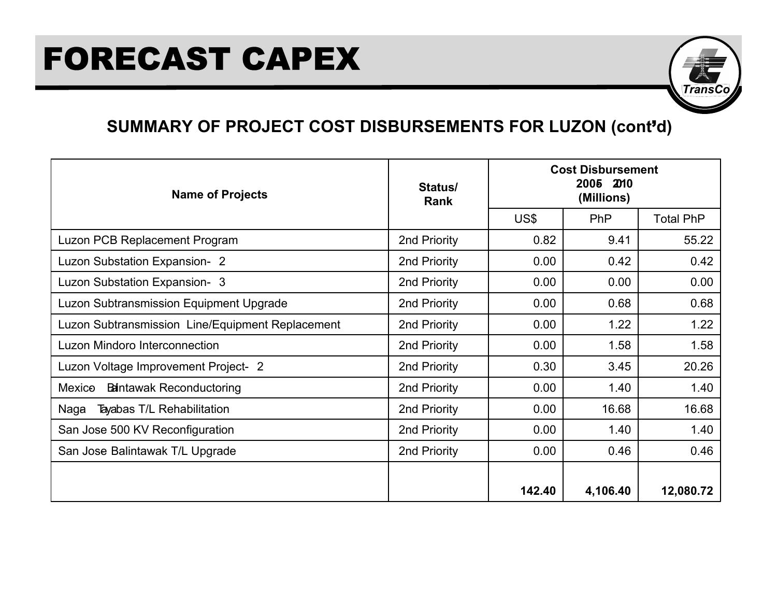

#### **SUMMARY OF PROJECT COST DISBURSEMENTS FOR LUZON (cont**'**d)**

| <b>Name of Projects</b>                          | Status/<br>Rank | <b>Cost Disbursement</b><br>2005 2010<br>(Millions) |            |                  |
|--------------------------------------------------|-----------------|-----------------------------------------------------|------------|------------------|
|                                                  |                 | US\$                                                | <b>PhP</b> | <b>Total PhP</b> |
| Luzon PCB Replacement Program                    | 2nd Priority    | 0.82                                                | 9.41       | 55.22            |
| Luzon Substation Expansion- 2                    | 2nd Priority    | 0.00                                                | 0.42       | 0.42             |
| Luzon Substation Expansion- 3                    | 2nd Priority    | 0.00                                                | 0.00       | 0.00             |
| Luzon Subtransmission Equipment Upgrade          | 2nd Priority    | 0.00                                                | 0.68       | 0.68             |
| Luzon Subtransmission Line/Equipment Replacement | 2nd Priority    | 0.00                                                | 1.22       | 1.22             |
| Luzon Mindoro Interconnection                    | 2nd Priority    | 0.00                                                | 1.58       | 1.58             |
| Luzon Voltage Improvement Project- 2             | 2nd Priority    | 0.30                                                | 3.45       | 20.26            |
| <b>Bantawak Reconductoring</b><br>Mexico         | 2nd Priority    | 0.00                                                | 1.40       | 1.40             |
| Tayabas T/L Rehabilitation<br>Naga               | 2nd Priority    | 0.00                                                | 16.68      | 16.68            |
| San Jose 500 KV Reconfiguration                  | 2nd Priority    | 0.00                                                | 1.40       | 1.40             |
| San Jose Balintawak T/L Upgrade                  | 2nd Priority    | 0.00                                                | 0.46       | 0.46             |
|                                                  |                 | 142.40                                              | 4,106.40   | 12,080.72        |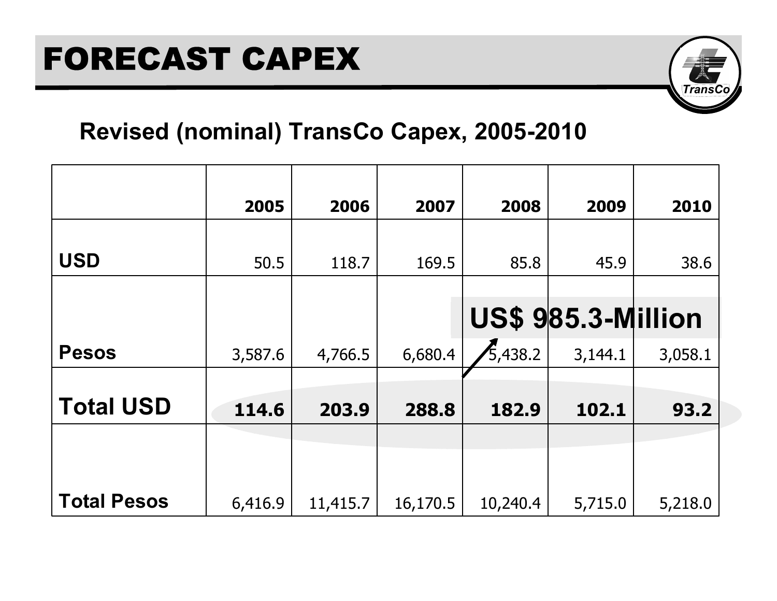# *TransCo*

## **Revised (nominal) TransCo Capex, 2005-2010**

|                    | 2005    | 2006     | 2007     | 2008              | 2009                      | 2010    |
|--------------------|---------|----------|----------|-------------------|---------------------------|---------|
|                    |         |          |          |                   |                           |         |
| <b>USD</b>         | 50.5    | 118.7    | 169.5    | 85.8              | 45.9                      | 38.6    |
|                    |         |          |          |                   |                           |         |
|                    |         |          |          |                   | <b>US\$ 985.3-Million</b> |         |
| <b>Pesos</b>       | 3,587.6 | 4,766.5  | 6,680.4  | $\sqrt{5}$ ,438.2 | 3,144.1                   | 3,058.1 |
|                    |         |          |          |                   |                           |         |
| <b>Total USD</b>   | 114.6   | 203.9    | 288.8    | 182.9             | 102.1                     | 93.2    |
|                    |         |          |          |                   |                           |         |
|                    |         |          |          |                   |                           |         |
| <b>Total Pesos</b> | 6,416.9 | 11,415.7 | 16,170.5 | 10,240.4          | 5,715.0                   | 5,218.0 |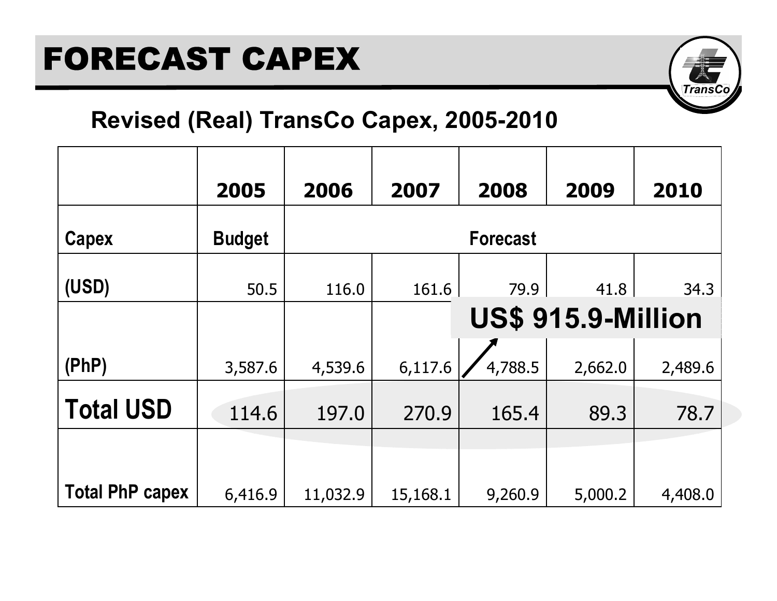

### **Revised (Real) TransCo Capex, 2005-2010**

|                        | 2005          | 2006     | 2007     | 2008            | 2009               | 2010    |
|------------------------|---------------|----------|----------|-----------------|--------------------|---------|
| Capex                  | <b>Budget</b> |          |          | <b>Forecast</b> |                    |         |
| (USD)                  | 50.5          | 116.0    | 161.6    | 79.9            | 41.8               | 34.3    |
|                        |               |          |          |                 | US\$ 915.9-Million |         |
| (PhP)                  | 3,587.6       | 4,539.6  | 6,117.6  | 4,788.5         | 2,662.0            | 2,489.6 |
| <b>Total USD</b>       | 114.6         | 197.0    | 270.9    | 165.4           | 89.3               | 78.7    |
|                        |               |          |          |                 |                    |         |
| <b>Total PhP capex</b> | 6,416.9       | 11,032.9 | 15,168.1 | 9,260.9         | 5,000.2            | 4,408.0 |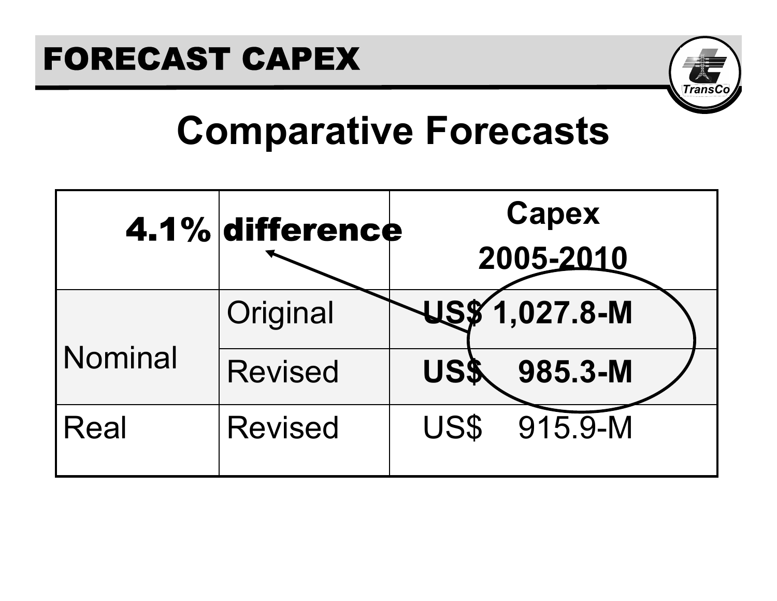

# **Comparative Forecasts**

| 4.1% difference |                | <b>Capex</b>                   |
|-----------------|----------------|--------------------------------|
|                 |                | 2005-2010                      |
|                 | Original       | US\$1,027.8-M                  |
| <b>Nominal</b>  | <b>Revised</b> | US\$<br>985.3-M                |
| <b>Real</b>     | <b>Revised</b> | $915.\overline{9} - M$<br>US\$ |